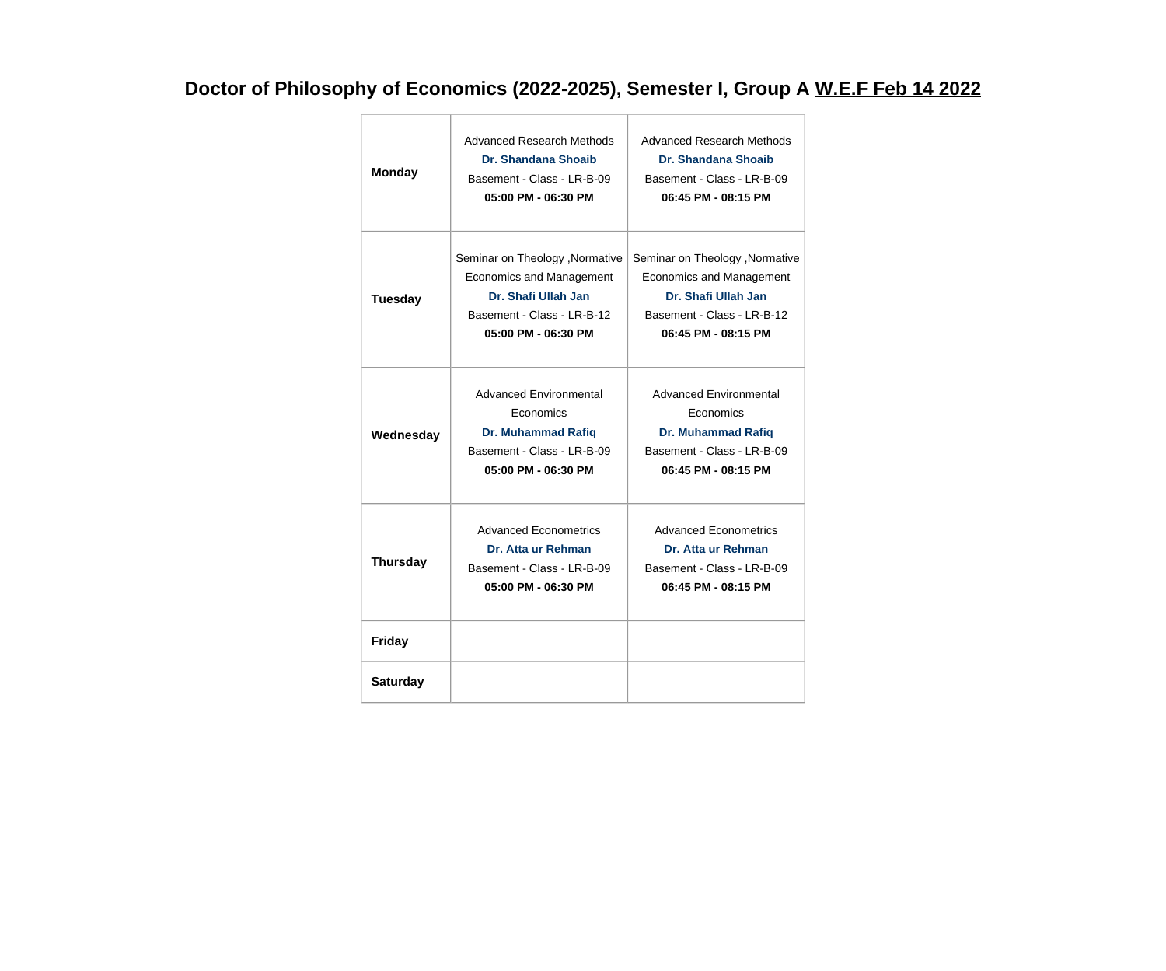## **Doctor of Philosophy of Economics (2022-2025), Semester I, Group A W.E.F Feb 14 2022**

| <b>Monday</b>   | Advanced Research Methods<br>Dr. Shandana Shoaib<br>Basement - Class - LR-B-09<br>05:00 PM - 06:30 PM                                   | Advanced Research Methods<br>Dr. Shandana Shoaib<br>Basement - Class - LR-B-09<br>06:45 PM - 08:15 PM                                   |
|-----------------|-----------------------------------------------------------------------------------------------------------------------------------------|-----------------------------------------------------------------------------------------------------------------------------------------|
| <b>Tuesday</b>  | Seminar on Theology , Normative<br>Economics and Management<br>Dr. Shafi Ullah Jan<br>Basement - Class - LR-B-12<br>05:00 PM - 06:30 PM | Seminar on Theology , Normative<br>Economics and Management<br>Dr. Shafi Ullah Jan<br>Basement - Class - LR-B-12<br>06:45 PM - 08:15 PM |
| Wednesday       | <b>Advanced Environmental</b><br>Economics<br><b>Dr. Muhammad Rafiq</b><br>Basement - Class - LR-B-09<br>05:00 PM - 06:30 PM            | Advanced Environmental<br>Economics<br><b>Dr. Muhammad Rafiq</b><br>Basement - Class - LR-B-09<br>06:45 PM - 08:15 PM                   |
| <b>Thursday</b> | <b>Advanced Econometrics</b><br>Dr. Atta ur Rehman<br>Basement - Class - LR-B-09<br>05:00 PM - 06:30 PM                                 | <b>Advanced Econometrics</b><br>Dr. Atta ur Rehman<br>Basement - Class - LR-B-09<br>06:45 PM - 08:15 PM                                 |
| <b>Friday</b>   |                                                                                                                                         |                                                                                                                                         |
| <b>Saturday</b> |                                                                                                                                         |                                                                                                                                         |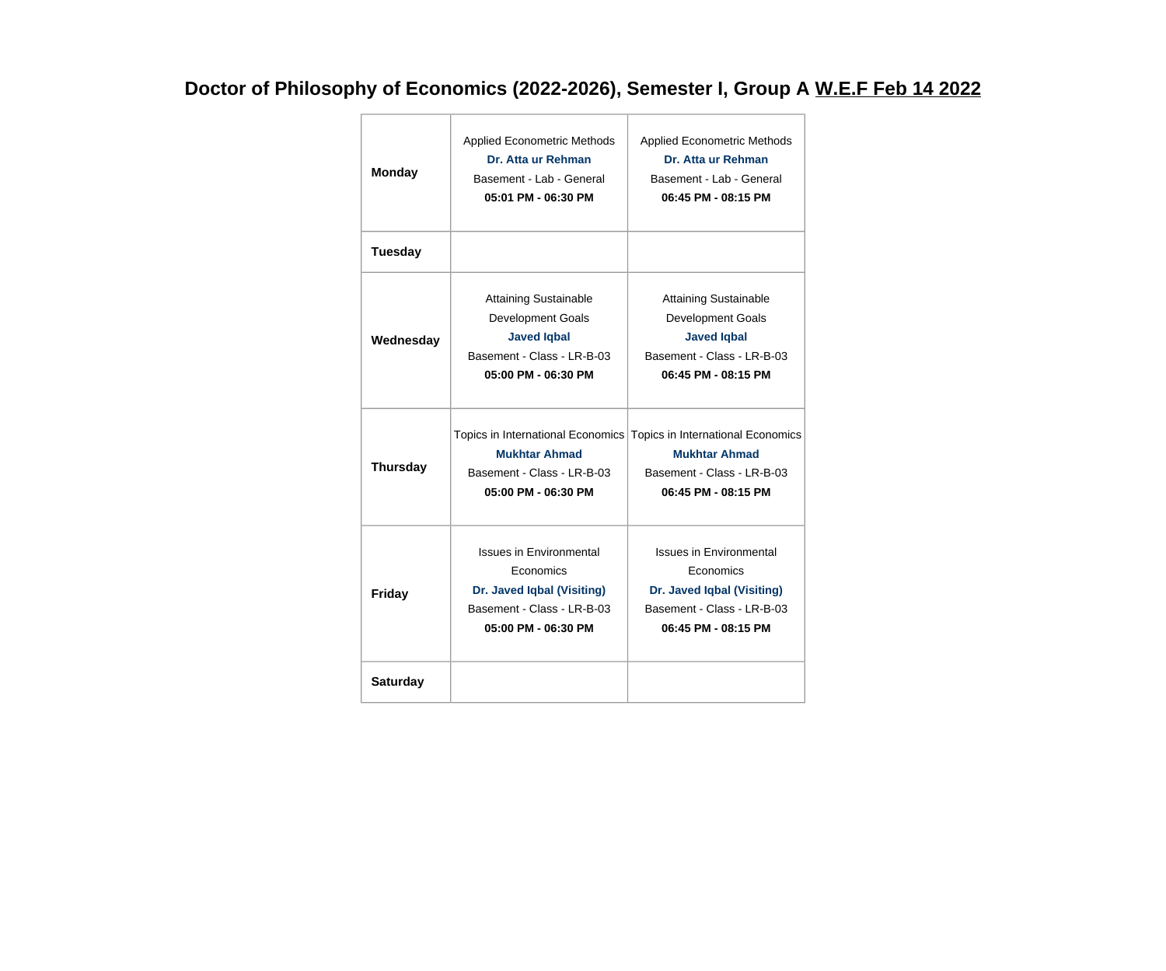## **Doctor of Philosophy of Economics (2022-2026), Semester I, Group A W.E.F Feb 14 2022**

| <b>Applied Econometric Methods</b><br>Dr. Atta ur Rehman<br><b>Monday</b><br>Basement - Lab - General<br>05:01 PM - 06:30 PM |                                                                                                                                                                     |                                                                                                                                | <b>Applied Econometric Methods</b><br>Dr. Atta ur Rehman<br>Basement - Lab - General<br>06:45 PM - 08:15 PM                         |
|------------------------------------------------------------------------------------------------------------------------------|---------------------------------------------------------------------------------------------------------------------------------------------------------------------|--------------------------------------------------------------------------------------------------------------------------------|-------------------------------------------------------------------------------------------------------------------------------------|
|                                                                                                                              | <b>Tuesday</b>                                                                                                                                                      |                                                                                                                                |                                                                                                                                     |
| Wednesday                                                                                                                    |                                                                                                                                                                     | <b>Attaining Sustainable</b><br>Development Goals<br><b>Javed Iqbal</b><br>Basement - Class - LR-B-03<br>05:00 PM - 06:30 PM   | <b>Attaining Sustainable</b><br><b>Development Goals</b><br><b>Javed Iqbal</b><br>Basement - Class - LR-B-03<br>06:45 PM - 08:15 PM |
|                                                                                                                              | Topics in International Economics Topics in International Economics<br><b>Mukhtar Ahmad</b><br><b>Thursday</b><br>Basement - Class - LR-B-03<br>05:00 PM - 06:30 PM |                                                                                                                                |                                                                                                                                     |
|                                                                                                                              |                                                                                                                                                                     |                                                                                                                                | <b>Mukhtar Ahmad</b><br>Basement - Class - LR-B-03<br>06:45 PM - 08:15 PM                                                           |
|                                                                                                                              | Friday                                                                                                                                                              | <b>Issues in Environmental</b><br>Economics<br>Dr. Javed Iqbal (Visiting)<br>Basement - Class - LR-B-03<br>05:00 PM - 06:30 PM | <b>Issues in Environmental</b><br>Economics<br>Dr. Javed Iqbal (Visiting)<br>Basement - Class - LR-B-03<br>06:45 PM - 08:15 PM      |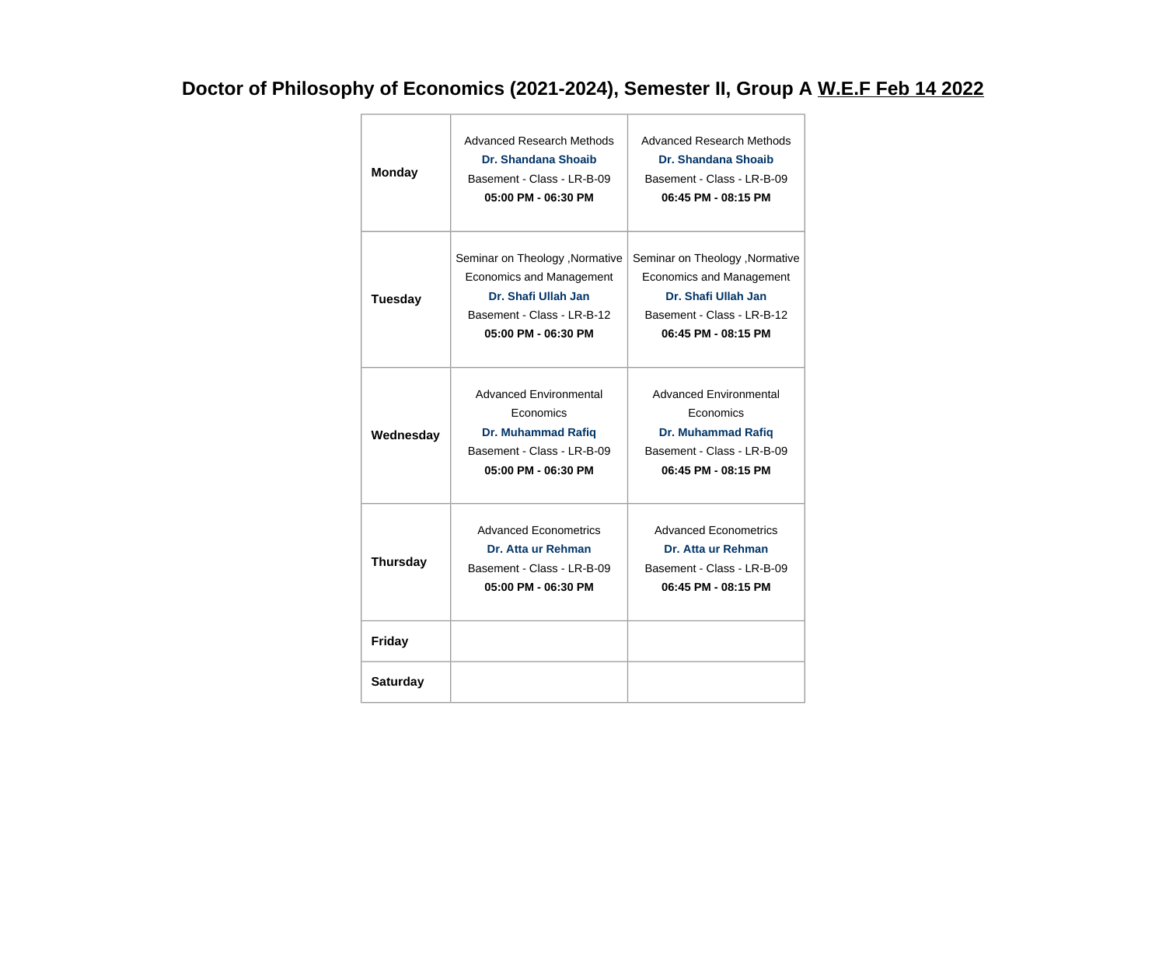## **Doctor of Philosophy of Economics (2021-2024), Semester II, Group A W.E.F Feb 14 2022**

| <b>Monday</b>   | Advanced Research Methods<br>Dr. Shandana Shoaib<br>Basement - Class - LR-B-09<br>05:00 PM - 06:30 PM                                   | Advanced Research Methods<br><b>Dr. Shandana Shoaib</b><br>Basement - Class - LR-B-09<br>06:45 PM - 08:15 PM                            |
|-----------------|-----------------------------------------------------------------------------------------------------------------------------------------|-----------------------------------------------------------------------------------------------------------------------------------------|
| <b>Tuesday</b>  | Seminar on Theology , Normative<br>Economics and Management<br>Dr. Shafi Ullah Jan<br>Basement - Class - LR-B-12<br>05:00 PM - 06:30 PM | Seminar on Theology , Normative<br>Economics and Management<br>Dr. Shafi Ullah Jan<br>Basement - Class - LR-B-12<br>06:45 PM - 08:15 PM |
| Wednesday       | <b>Advanced Environmental</b><br>Economics<br><b>Dr. Muhammad Rafiq</b><br>Basement - Class - LR-B-09<br>05:00 PM - 06:30 PM            | <b>Advanced Environmental</b><br>Economics<br><b>Dr. Muhammad Rafiq</b><br>Basement - Class - LR-B-09<br>06:45 PM - 08:15 PM            |
| <b>Thursday</b> | Advanced Econometrics<br>Dr. Atta ur Rehman<br>Basement - Class - LR-B-09<br>05:00 PM - 06:30 PM                                        | Advanced Econometrics<br>Dr. Atta ur Rehman<br>Basement - Class - LR-B-09<br>06:45 PM - 08:15 PM                                        |
| <b>Friday</b>   |                                                                                                                                         |                                                                                                                                         |
| <b>Saturday</b> |                                                                                                                                         |                                                                                                                                         |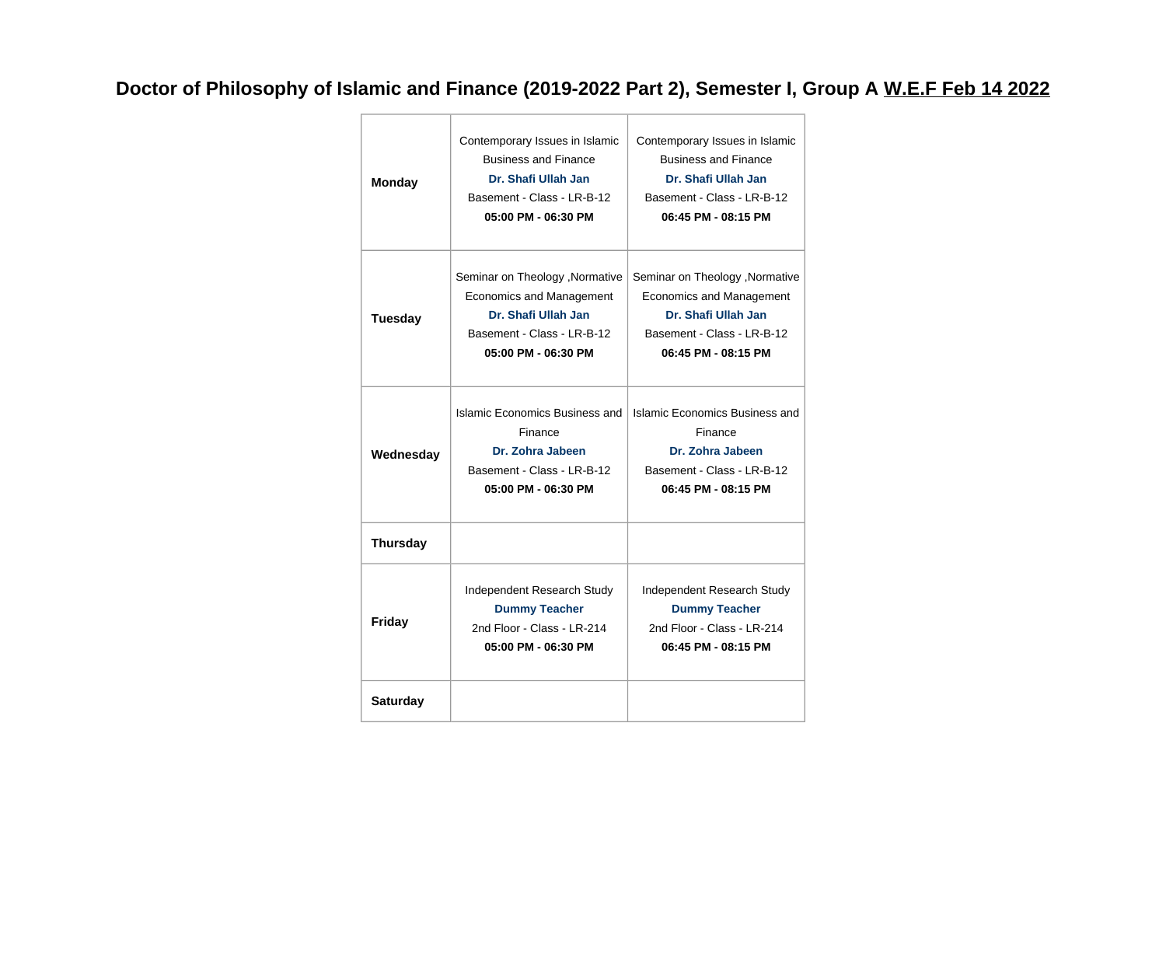### **Doctor of Philosophy of Islamic and Finance (2019-2022 Part 2), Semester I, Group A W.E.F Feb 14 2022**

| <b>Monday</b>                                                                                                                                                    | Contemporary Issues in Islamic<br><b>Business and Finance</b><br>Dr. Shafi Ullah Jan<br>Basement - Class - LR-B-12<br>05:00 PM - 06:30 PM | Contemporary Issues in Islamic<br><b>Business and Finance</b><br>Dr. Shafi Ullah Jan<br>Basement - Class - LR-B-12<br>06:45 PM - 08:15 PM      |  |
|------------------------------------------------------------------------------------------------------------------------------------------------------------------|-------------------------------------------------------------------------------------------------------------------------------------------|------------------------------------------------------------------------------------------------------------------------------------------------|--|
| Seminar on Theology , Normative<br><b>Economics and Management</b><br>Dr. Shafi Ullah Jan<br><b>Tuesday</b><br>Basement - Class - LR-B-12<br>05:00 PM - 06:30 PM |                                                                                                                                           | Seminar on Theology , Normative<br><b>Economics and Management</b><br>Dr. Shafi Ullah Jan<br>Basement - Class - LR-B-12<br>06:45 PM - 08:15 PM |  |
| Wednesday                                                                                                                                                        | Islamic Economics Business and<br>Finance<br>Dr. Zohra Jabeen<br>Basement - Class - LR-B-12<br>05:00 PM - 06:30 PM                        | Islamic Economics Business and<br>Finance<br>Dr. Zohra Jabeen<br>Basement - Class - LR-B-12<br>06:45 PM - 08:15 PM                             |  |
| <b>Thursday</b>                                                                                                                                                  |                                                                                                                                           |                                                                                                                                                |  |
| Friday                                                                                                                                                           | Independent Research Study<br><b>Dummy Teacher</b><br>2nd Floor - Class - LR-214<br>05:00 PM - 06:30 PM                                   | Independent Research Study<br><b>Dummy Teacher</b><br>2nd Floor - Class - LR-214<br>06:45 PM - 08:15 PM                                        |  |
| <b>Saturday</b>                                                                                                                                                  |                                                                                                                                           |                                                                                                                                                |  |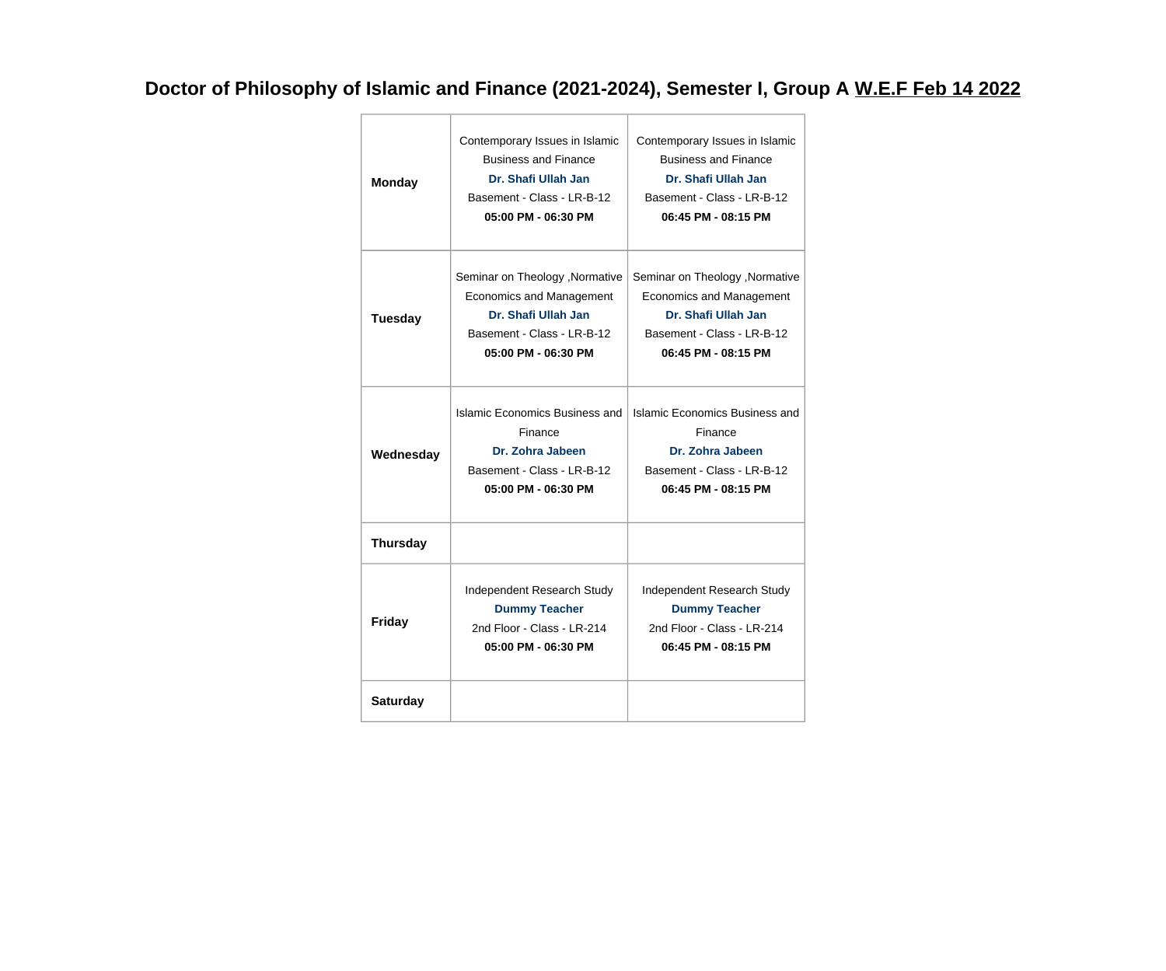### **Doctor of Philosophy of Islamic and Finance (2021-2024), Semester I, Group A W.E.F Feb 14 2022**

| <b>Monday</b>                                                                                                                                             | Contemporary Issues in Islamic<br><b>Business and Finance</b><br>Dr. Shafi Ullah Jan<br>Basement - Class - LR-B-12<br>05:00 PM - 06:30 PM | Contemporary Issues in Islamic<br><b>Business and Finance</b><br>Dr. Shafi Ullah Jan<br>Basement - Class - LR-B-12<br>06:45 PM - 08:15 PM      |  |
|-----------------------------------------------------------------------------------------------------------------------------------------------------------|-------------------------------------------------------------------------------------------------------------------------------------------|------------------------------------------------------------------------------------------------------------------------------------------------|--|
| Seminar on Theology , Normative<br>Economics and Management<br>Dr. Shafi Ullah Jan<br><b>Tuesday</b><br>Basement - Class - LR-B-12<br>05:00 PM - 06:30 PM |                                                                                                                                           | Seminar on Theology , Normative<br><b>Economics and Management</b><br>Dr. Shafi Ullah Jan<br>Basement - Class - LR-B-12<br>06:45 PM - 08:15 PM |  |
| Wednesday                                                                                                                                                 | Islamic Economics Business and<br>Finance<br>Dr. Zohra Jabeen<br>Basement - Class - LR-B-12<br>05:00 PM - 06:30 PM                        | Islamic Economics Business and<br>Finance<br>Dr. Zohra Jabeen<br>Basement - Class - LR-B-12<br>06:45 PM - 08:15 PM                             |  |
| <b>Thursday</b>                                                                                                                                           |                                                                                                                                           |                                                                                                                                                |  |
| Friday                                                                                                                                                    | Independent Research Study<br><b>Dummy Teacher</b><br>2nd Floor - Class - LR-214<br>05:00 PM - 06:30 PM                                   | Independent Research Study<br><b>Dummy Teacher</b><br>2nd Floor - Class - LR-214<br>06:45 PM - 08:15 PM                                        |  |
| <b>Saturday</b>                                                                                                                                           |                                                                                                                                           |                                                                                                                                                |  |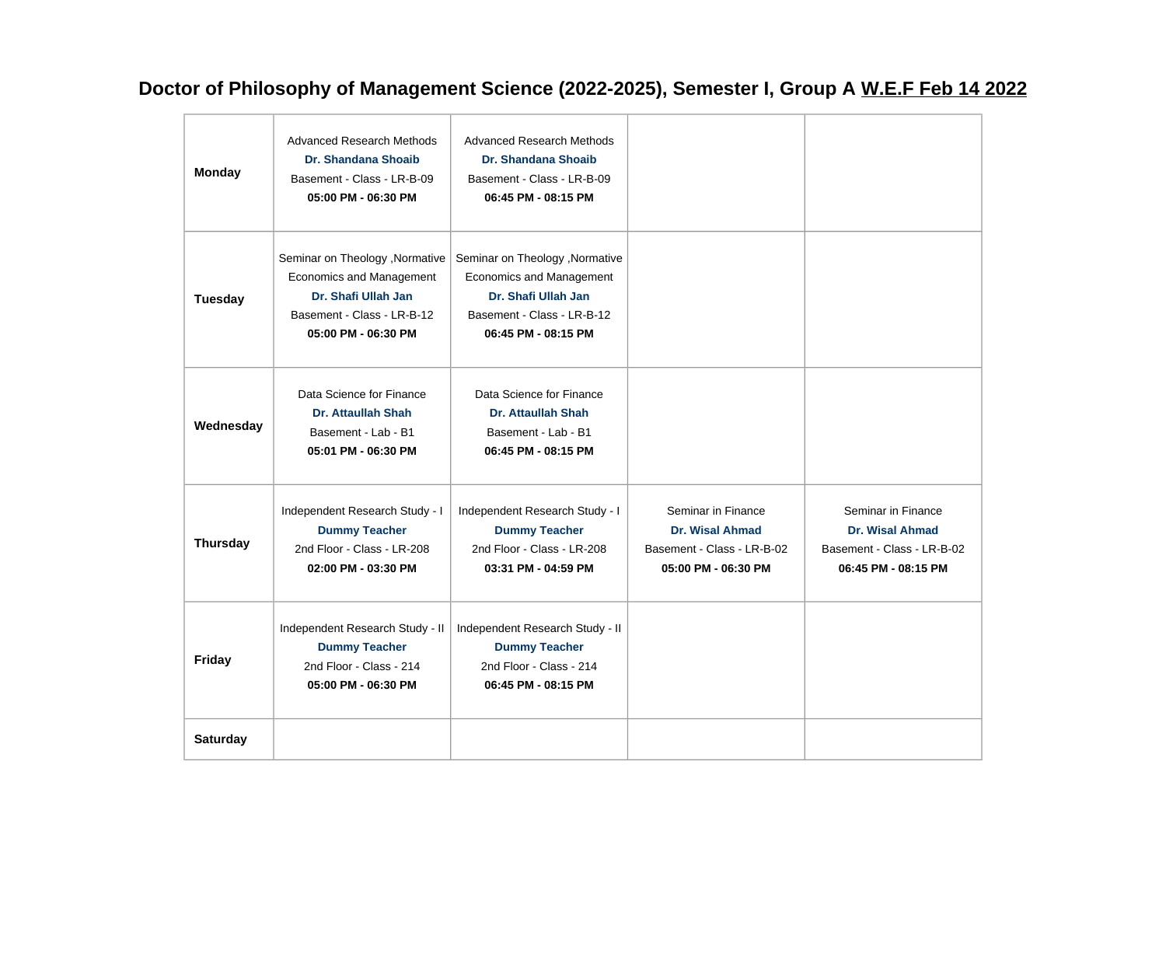### **Doctor of Philosophy of Management Science (2022-2025), Semester I, Group A W.E.F Feb 14 2022**

| <b>Monday</b>   | <b>Advanced Research Methods</b><br><b>Dr. Shandana Shoaib</b><br>Basement - Class - LR-B-09<br>05:00 PM - 06:30 PM                            | <b>Advanced Research Methods</b><br><b>Dr. Shandana Shoaib</b><br>Basement - Class - LR-B-09<br>06:45 PM - 08:15 PM                            |                                                                                                   |                                                                                                   |
|-----------------|------------------------------------------------------------------------------------------------------------------------------------------------|------------------------------------------------------------------------------------------------------------------------------------------------|---------------------------------------------------------------------------------------------------|---------------------------------------------------------------------------------------------------|
| Tuesday         | Seminar on Theology , Normative<br><b>Economics and Management</b><br>Dr. Shafi Ullah Jan<br>Basement - Class - LR-B-12<br>05:00 PM - 06:30 PM | Seminar on Theology , Normative<br><b>Economics and Management</b><br>Dr. Shafi Ullah Jan<br>Basement - Class - LR-B-12<br>06:45 PM - 08:15 PM |                                                                                                   |                                                                                                   |
| Wednesday       | Data Science for Finance<br><b>Dr. Attaullah Shah</b><br>Basement - Lab - B1<br>05:01 PM - 06:30 PM                                            | Data Science for Finance<br><b>Dr. Attaullah Shah</b><br>Basement - Lab - B1<br>06:45 PM - 08:15 PM                                            |                                                                                                   |                                                                                                   |
| <b>Thursday</b> | Independent Research Study - I<br><b>Dummy Teacher</b><br>2nd Floor - Class - LR-208<br>02:00 PM - 03:30 PM                                    | Independent Research Study - I<br><b>Dummy Teacher</b><br>2nd Floor - Class - LR-208<br>03:31 PM - 04:59 PM                                    | Seminar in Finance<br><b>Dr. Wisal Ahmad</b><br>Basement - Class - LR-B-02<br>05:00 PM - 06:30 PM | Seminar in Finance<br><b>Dr. Wisal Ahmad</b><br>Basement - Class - LR-B-02<br>06:45 PM - 08:15 PM |
| <b>Friday</b>   | Independent Research Study - II<br><b>Dummy Teacher</b><br>2nd Floor - Class - 214<br>05:00 PM - 06:30 PM                                      | Independent Research Study - II<br><b>Dummy Teacher</b><br>2nd Floor - Class - 214<br>06:45 PM - 08:15 PM                                      |                                                                                                   |                                                                                                   |
| <b>Saturday</b> |                                                                                                                                                |                                                                                                                                                |                                                                                                   |                                                                                                   |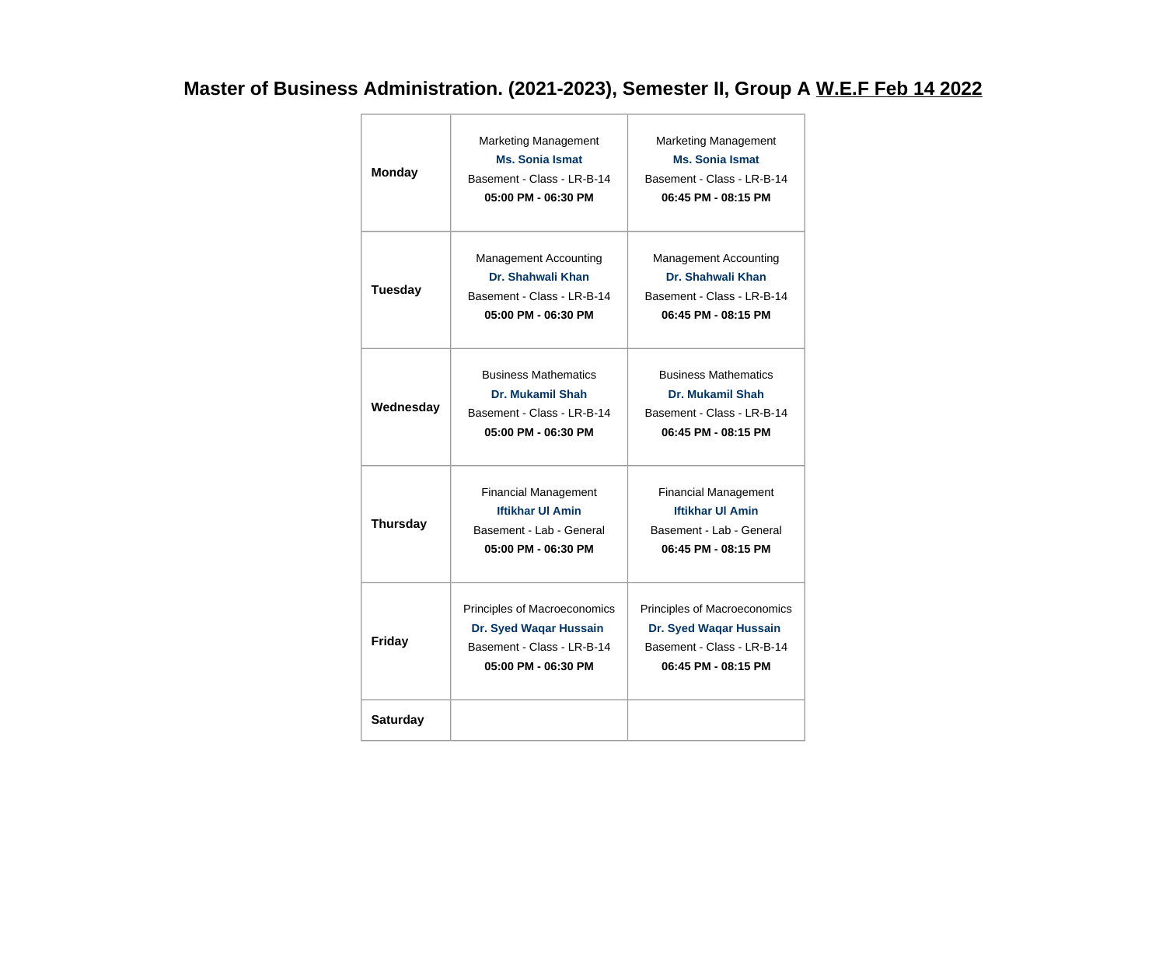### **Master of Business Administration. (2021-2023), Semester II, Group A W.E.F Feb 14 2022**

| <b>Monday</b>                                                                                                     | <b>Marketing Management</b><br><b>Ms. Sonia Ismat</b><br>Basement - Class - LR-B-14<br>05:00 PM - 06:30 PM  | <b>Marketing Management</b><br><b>Ms. Sonia Ismat</b><br>Basement - Class - LR-B-14<br>06:45 PM - 08:15 PM  |  |
|-------------------------------------------------------------------------------------------------------------------|-------------------------------------------------------------------------------------------------------------|-------------------------------------------------------------------------------------------------------------|--|
| <b>Tuesday</b>                                                                                                    | <b>Management Accounting</b><br>Dr. Shahwali Khan<br>Basement - Class - LR-B-14<br>05:00 PM - 06:30 PM      | Management Accounting<br>Dr. Shahwali Khan<br>Basement - Class - LR-B-14<br>06:45 PM - 08:15 PM             |  |
| <b>Business Mathematics</b><br>Dr. Mukamil Shah<br>Wednesday<br>Basement - Class - LR-B-14<br>05:00 PM - 06:30 PM |                                                                                                             | <b>Business Mathematics</b><br>Dr. Mukamil Shah<br>Basement - Class - LR-B-14<br>06:45 PM - 08:15 PM        |  |
| <b>Thursday</b>                                                                                                   | <b>Financial Management</b><br><b>Iftikhar UI Amin</b><br>Basement - Lab - General<br>05:00 PM - 06:30 PM   | <b>Financial Management</b><br><b>Iftikhar UI Amin</b><br>Basement - Lab - General<br>06:45 PM - 08:15 PM   |  |
| <b>Friday</b>                                                                                                     | Principles of Macroeconomics<br>Dr. Syed Waqar Hussain<br>Basement - Class - LR-B-14<br>05:00 PM - 06:30 PM | Principles of Macroeconomics<br>Dr. Syed Waqar Hussain<br>Basement - Class - LR-B-14<br>06:45 PM - 08:15 PM |  |
| <b>Saturday</b>                                                                                                   |                                                                                                             |                                                                                                             |  |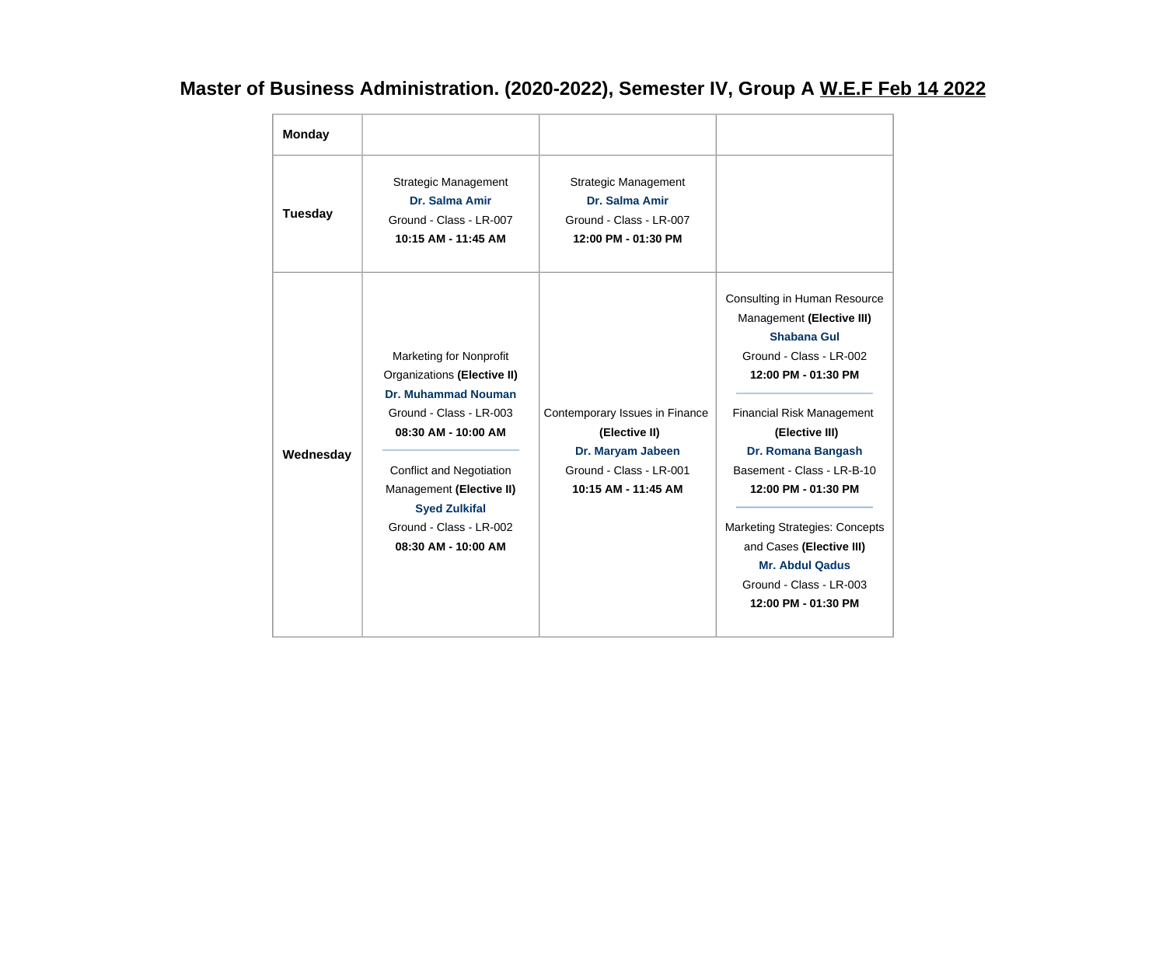## **Master of Business Administration. (2020-2022), Semester IV, Group A W.E.F Feb 14 2022**

| <b>Monday</b> |                                                                                                                                                                                                                                                                                        |                                                                                                                        |                                                                                                                                                                                                                                                                                                                                                                                                              |
|---------------|----------------------------------------------------------------------------------------------------------------------------------------------------------------------------------------------------------------------------------------------------------------------------------------|------------------------------------------------------------------------------------------------------------------------|--------------------------------------------------------------------------------------------------------------------------------------------------------------------------------------------------------------------------------------------------------------------------------------------------------------------------------------------------------------------------------------------------------------|
| Tuesday       | <b>Strategic Management</b><br>Dr. Salma Amir<br>Ground - Class - LR-007<br>10:15 AM - 11:45 AM                                                                                                                                                                                        | <b>Strategic Management</b><br>Dr. Salma Amir<br>Ground - Class - LR-007<br>12:00 PM - 01:30 PM                        |                                                                                                                                                                                                                                                                                                                                                                                                              |
| Wednesday     | <b>Marketing for Nonprofit</b><br>Organizations (Elective II)<br><b>Dr. Muhammad Nouman</b><br>Ground - Class - LR-003<br>08:30 AM - 10:00 AM<br><b>Conflict and Negotiation</b><br>Management (Elective II)<br><b>Syed Zulkifal</b><br>Ground - Class - LR-002<br>08:30 AM - 10:00 AM | Contemporary Issues in Finance<br>(Elective II)<br>Dr. Maryam Jabeen<br>Ground - Class - LR-001<br>10:15 AM - 11:45 AM | Consulting in Human Resource<br>Management (Elective III)<br>Shabana Gul<br>Ground - Class - LR-002<br>12:00 PM - 01:30 PM<br><b>Financial Risk Management</b><br>(Elective III)<br>Dr. Romana Bangash<br>Basement - Class - LR-B-10<br>12:00 PM - 01:30 PM<br><b>Marketing Strategies: Concepts</b><br>and Cases (Elective III)<br><b>Mr. Abdul Qadus</b><br>Ground - Class - LR-003<br>12:00 PM - 01:30 PM |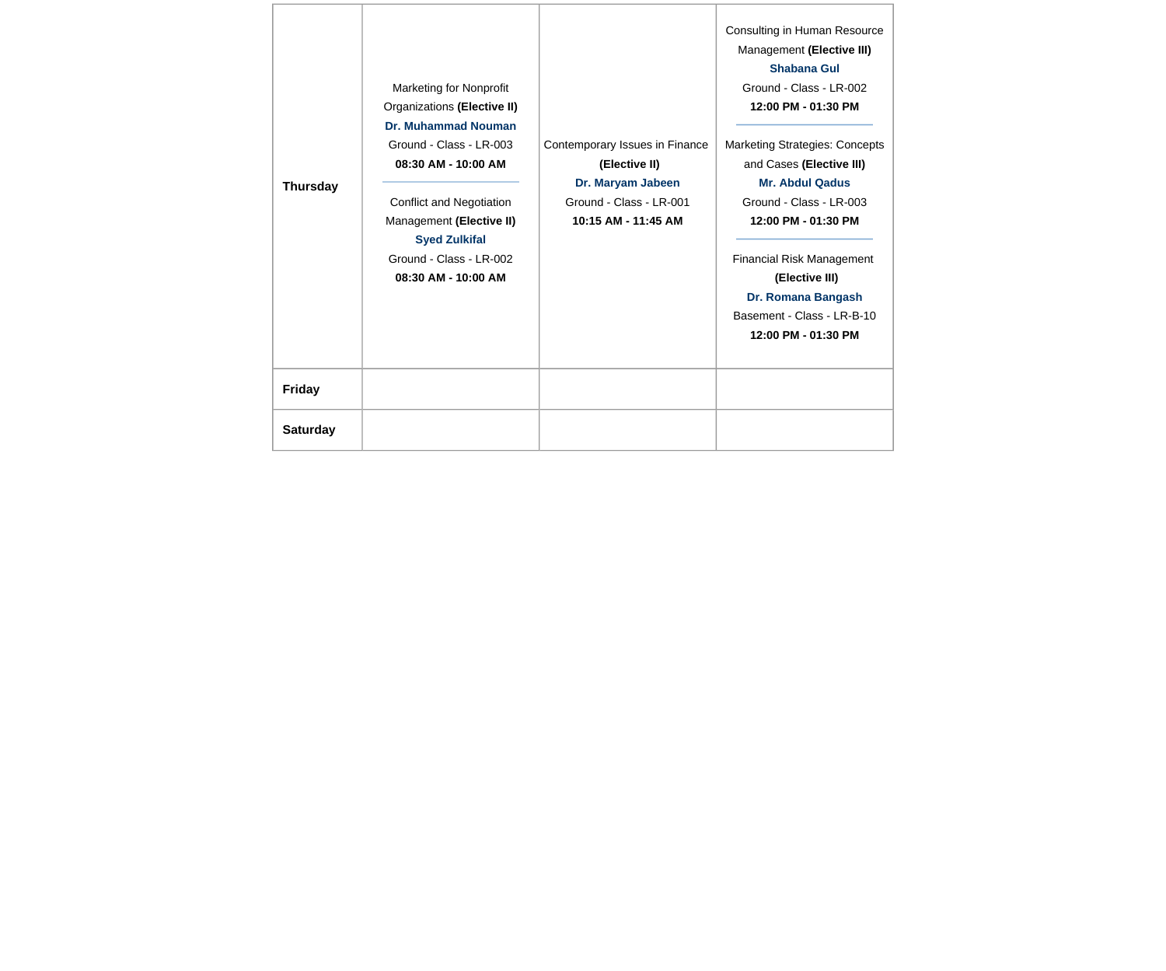| <b>Thursday</b> | <b>Marketing for Nonprofit</b><br>Organizations (Elective II)<br><b>Dr. Muhammad Nouman</b><br>Ground - Class - LR-003<br>08:30 AM - 10:00 AM<br><b>Conflict and Negotiation</b><br>Management (Elective II)<br><b>Syed Zulkifal</b><br>Ground - Class - LR-002<br>08:30 AM - 10:00 AM | Contemporary Issues in Finance<br>(Elective II)<br>Dr. Maryam Jabeen<br>Ground - Class - LR-001<br>10:15 AM - 11:45 AM | Consulting in Human Resource<br>Management (Elective III)<br><b>Shabana Gul</b><br>Ground - Class - LR-002<br>12:00 PM - 01:30 PM<br><b>Marketing Strategies: Concepts</b><br>and Cases (Elective III)<br><b>Mr. Abdul Qadus</b><br>Ground - Class - LR-003<br>12:00 PM - 01:30 PM<br><b>Financial Risk Management</b><br>(Elective III)<br>Dr. Romana Bangash<br>Basement - Class - LR-B-10<br>12:00 PM - 01:30 PM |
|-----------------|----------------------------------------------------------------------------------------------------------------------------------------------------------------------------------------------------------------------------------------------------------------------------------------|------------------------------------------------------------------------------------------------------------------------|---------------------------------------------------------------------------------------------------------------------------------------------------------------------------------------------------------------------------------------------------------------------------------------------------------------------------------------------------------------------------------------------------------------------|
| <b>Friday</b>   |                                                                                                                                                                                                                                                                                        |                                                                                                                        |                                                                                                                                                                                                                                                                                                                                                                                                                     |
| <b>Saturday</b> |                                                                                                                                                                                                                                                                                        |                                                                                                                        |                                                                                                                                                                                                                                                                                                                                                                                                                     |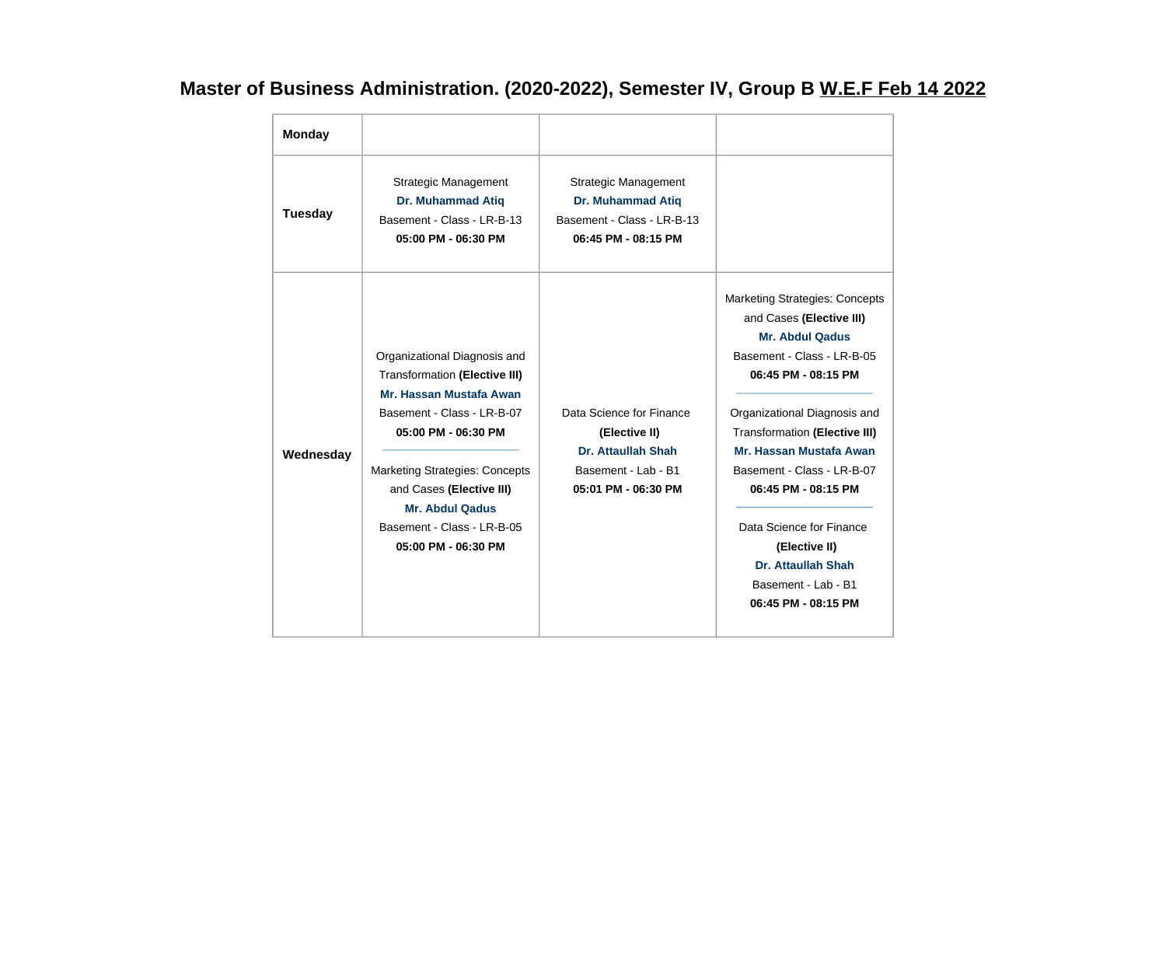## **Master of Business Administration. (2020-2022), Semester IV, Group B W.E.F Feb 14 2022**

| <b>Monday</b>  |                                                                                                                                                                                                                                                                                                          |                                                                                                                      |                                                                                                                                                                                                                                                                                                                                                                                                                           |
|----------------|----------------------------------------------------------------------------------------------------------------------------------------------------------------------------------------------------------------------------------------------------------------------------------------------------------|----------------------------------------------------------------------------------------------------------------------|---------------------------------------------------------------------------------------------------------------------------------------------------------------------------------------------------------------------------------------------------------------------------------------------------------------------------------------------------------------------------------------------------------------------------|
| <b>Tuesday</b> | <b>Strategic Management</b><br><b>Dr. Muhammad Atiq</b><br>Basement - Class - LR-B-13<br>05:00 PM - 06:30 PM                                                                                                                                                                                             | <b>Strategic Management</b><br><b>Dr. Muhammad Atiq</b><br>Basement - Class - LR-B-13<br>06:45 PM - 08:15 PM         |                                                                                                                                                                                                                                                                                                                                                                                                                           |
| Wednesday      | Organizational Diagnosis and<br><b>Transformation (Elective III)</b><br>Mr. Hassan Mustafa Awan<br>Basement - Class - LR-B-07<br>05:00 PM - 06:30 PM<br><b>Marketing Strategies: Concepts</b><br>and Cases (Elective III)<br><b>Mr. Abdul Qadus</b><br>Basement - Class - LR-B-05<br>05:00 PM - 06:30 PM | Data Science for Finance<br>(Elective II)<br><b>Dr. Attaullah Shah</b><br>Basement - Lab - B1<br>05:01 PM - 06:30 PM | <b>Marketing Strategies: Concepts</b><br>and Cases (Elective III)<br><b>Mr. Abdul Qadus</b><br>Basement - Class - LR-B-05<br>06:45 PM - 08:15 PM<br>Organizational Diagnosis and<br><b>Transformation (Elective III)</b><br>Mr. Hassan Mustafa Awan<br>Basement - Class - LR-B-07<br>06:45 PM - 08:15 PM<br>Data Science for Finance<br>(Elective II)<br>Dr. Attaullah Shah<br>Basement - Lab - B1<br>06:45 PM - 08:15 PM |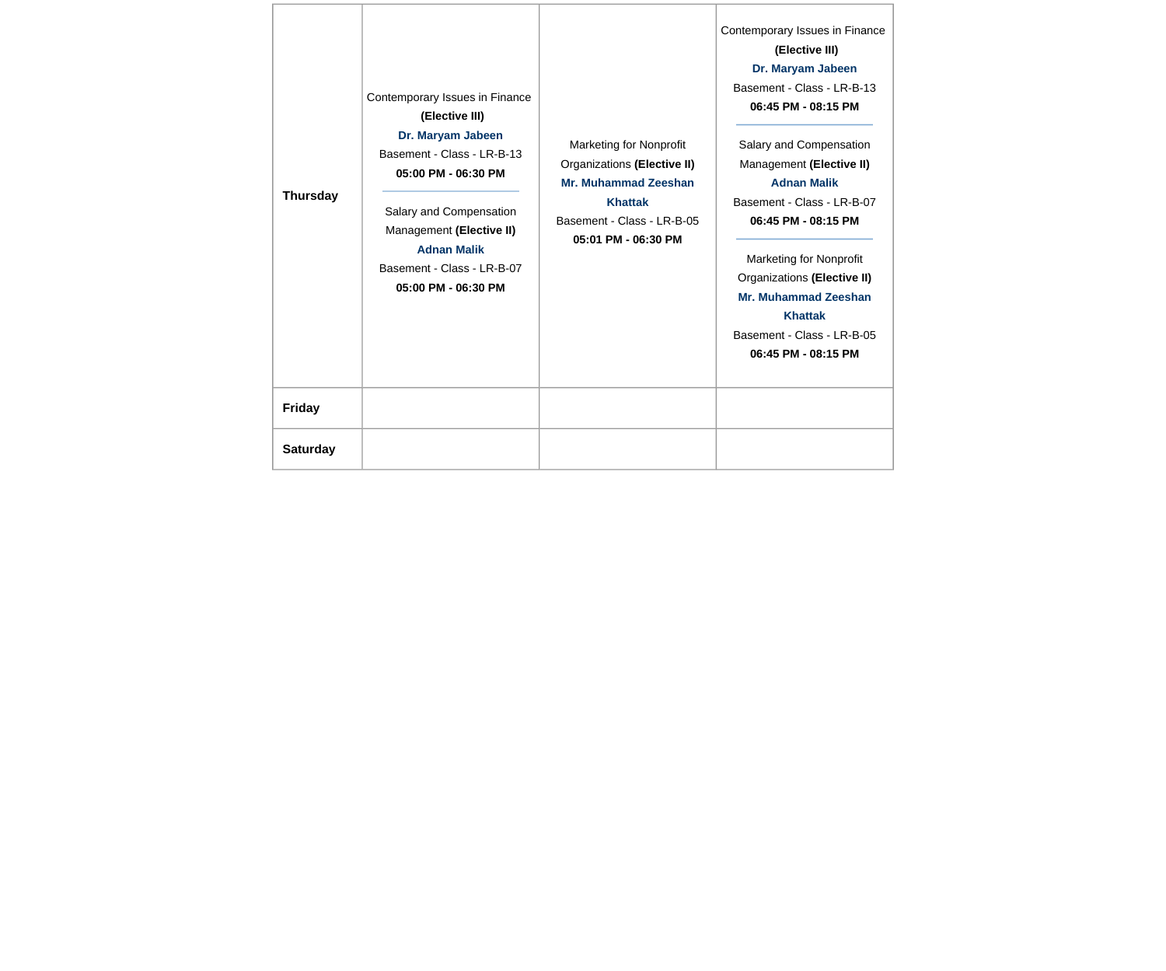| <b>Thursday</b> | Contemporary Issues in Finance<br>(Elective III)<br>Dr. Maryam Jabeen<br>Basement - Class - LR-B-13<br>05:00 PM - 06:30 PM<br>Salary and Compensation<br>Management (Elective II)<br><b>Adnan Malik</b><br>Basement - Class - LR-B-07<br>05:00 PM - 06:30 PM | <b>Marketing for Nonprofit</b><br>Organizations (Elective II)<br>Mr. Muhammad Zeeshan<br><b>Khattak</b><br>Basement - Class - LR-B-05<br>05:01 PM - 06:30 PM | Contemporary Issues in Finance<br>(Elective III)<br>Dr. Maryam Jabeen<br>Basement - Class - LR-B-13<br>06:45 PM - 08:15 PM<br>Salary and Compensation<br>Management (Elective II)<br><b>Adnan Malik</b><br>Basement - Class - LR-B-07<br>06:45 PM - 08:15 PM<br><b>Marketing for Nonprofit</b><br>Organizations (Elective II)<br>Mr. Muhammad Zeeshan<br><b>Khattak</b><br>Basement - Class - LR-B-05<br>06:45 PM - 08:15 PM |
|-----------------|--------------------------------------------------------------------------------------------------------------------------------------------------------------------------------------------------------------------------------------------------------------|--------------------------------------------------------------------------------------------------------------------------------------------------------------|------------------------------------------------------------------------------------------------------------------------------------------------------------------------------------------------------------------------------------------------------------------------------------------------------------------------------------------------------------------------------------------------------------------------------|
| <b>Friday</b>   |                                                                                                                                                                                                                                                              |                                                                                                                                                              |                                                                                                                                                                                                                                                                                                                                                                                                                              |
| <b>Saturday</b> |                                                                                                                                                                                                                                                              |                                                                                                                                                              |                                                                                                                                                                                                                                                                                                                                                                                                                              |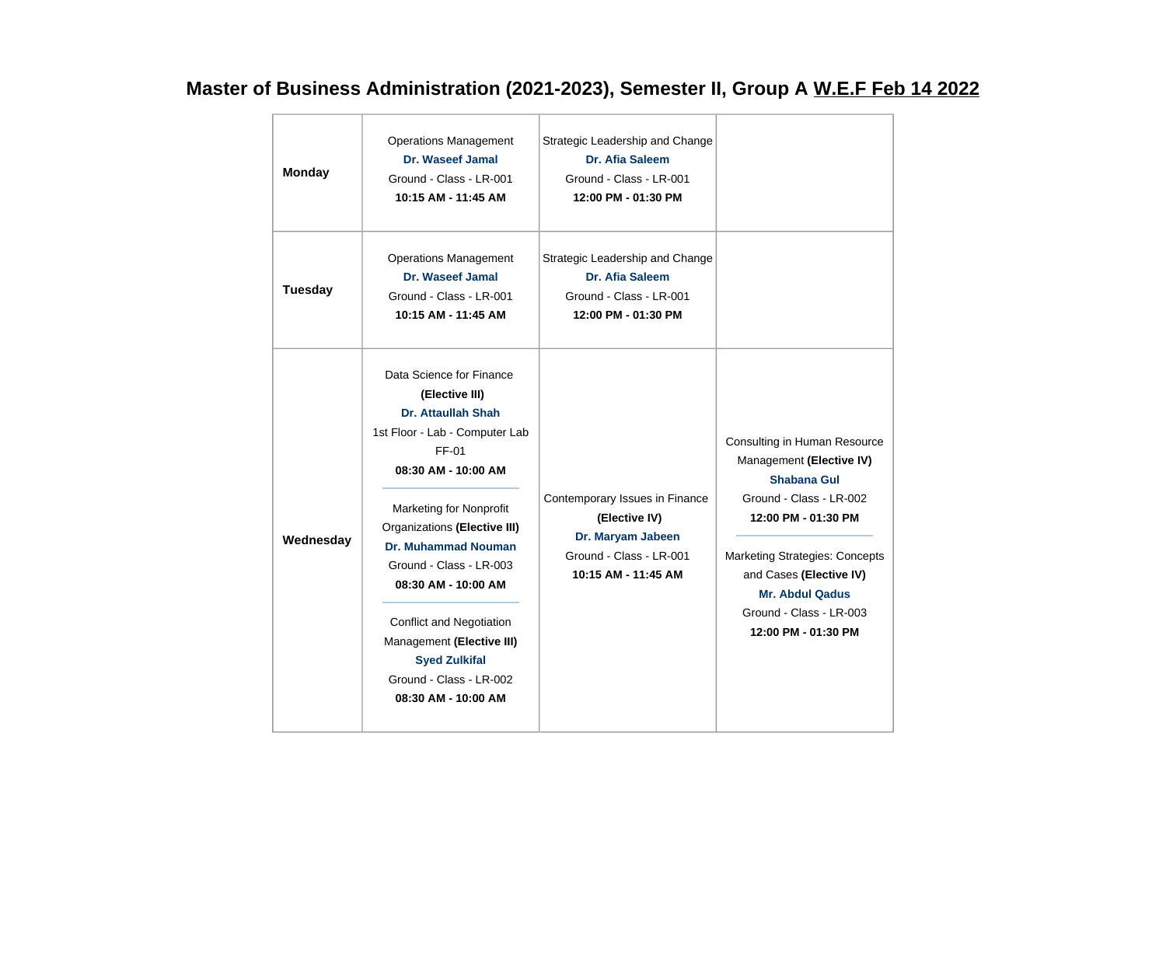## **Master of Business Administration (2021-2023), Semester II, Group A W.E.F Feb 14 2022**

| <b>Monday</b>  | <b>Operations Management</b><br>Dr. Waseef Jamal<br>Ground - Class - LR-001<br>10:15 AM - 11:45 AM                                                                                                                                                                                                                                                                                                                             | Strategic Leadership and Change<br>Dr. Afia Saleem<br>Ground - Class - LR-001<br>12:00 PM - 01:30 PM                   |                                                                                                                                                                                                                                                                           |
|----------------|--------------------------------------------------------------------------------------------------------------------------------------------------------------------------------------------------------------------------------------------------------------------------------------------------------------------------------------------------------------------------------------------------------------------------------|------------------------------------------------------------------------------------------------------------------------|---------------------------------------------------------------------------------------------------------------------------------------------------------------------------------------------------------------------------------------------------------------------------|
| <b>Tuesday</b> | <b>Operations Management</b><br>Dr. Waseef Jamal<br>Ground - Class - LR-001<br>10:15 AM - 11:45 AM                                                                                                                                                                                                                                                                                                                             | Strategic Leadership and Change<br>Dr. Afia Saleem<br>Ground - Class - LR-001<br>12:00 PM - 01:30 PM                   |                                                                                                                                                                                                                                                                           |
| Wednesday      | Data Science for Finance<br>(Elective III)<br>Dr. Attaullah Shah<br>1st Floor - Lab - Computer Lab<br>FF-01<br>08:30 AM - 10:00 AM<br><b>Marketing for Nonprofit</b><br>Organizations (Elective III)<br><b>Dr. Muhammad Nouman</b><br>Ground - Class - LR-003<br>08:30 AM - 10:00 AM<br><b>Conflict and Negotiation</b><br>Management (Elective III)<br><b>Syed Zulkifal</b><br>Ground - Class - LR-002<br>08:30 AM - 10:00 AM | Contemporary Issues in Finance<br>(Elective IV)<br>Dr. Maryam Jabeen<br>Ground - Class - LR-001<br>10:15 AM - 11:45 AM | Consulting in Human Resource<br>Management (Elective IV)<br>Shabana Gul<br>Ground - Class - LR-002<br>12:00 PM - 01:30 PM<br><b>Marketing Strategies: Concepts</b><br>and Cases (Elective IV)<br><b>Mr. Abdul Qadus</b><br>Ground - Class - LR-003<br>12:00 PM - 01:30 PM |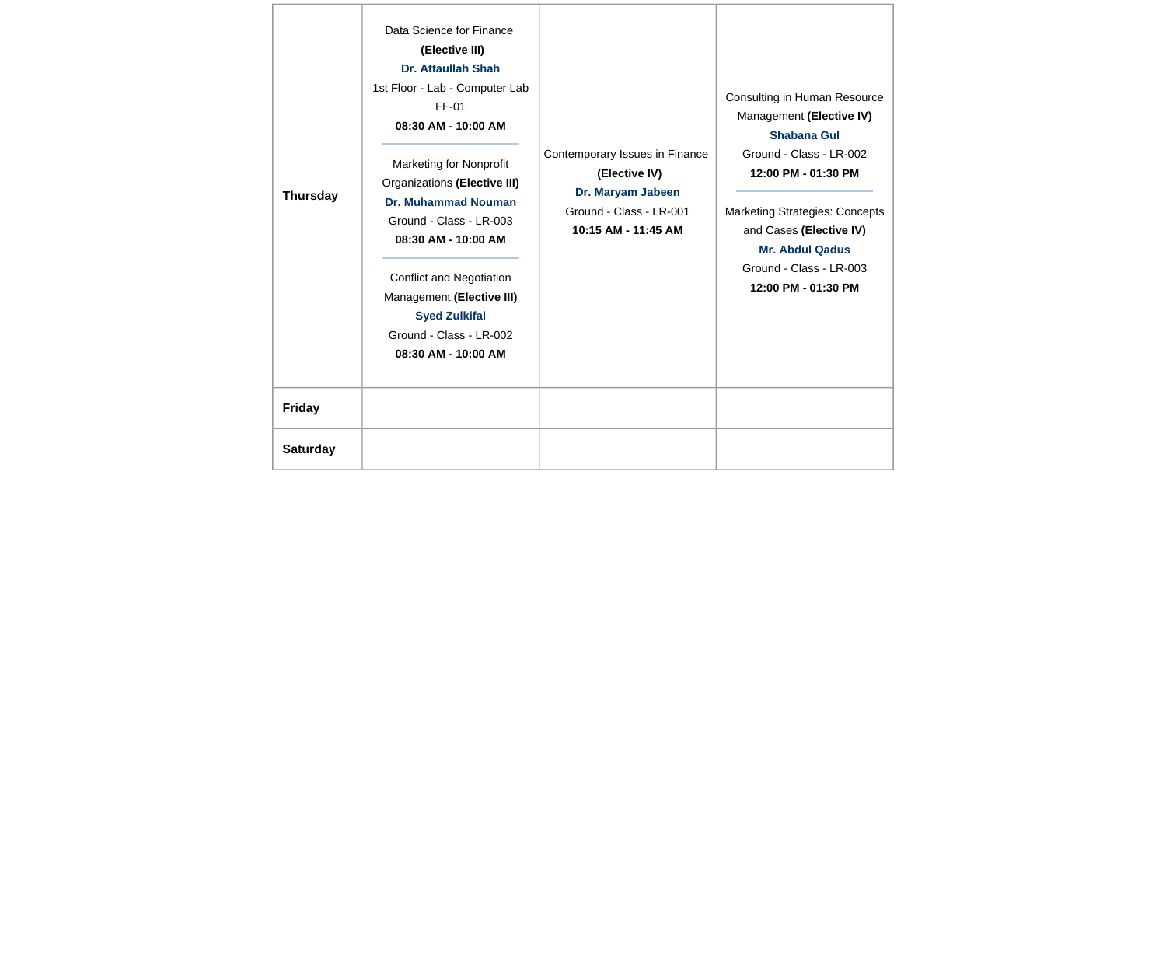| <b>Thursday</b> | Data Science for Finance<br>(Elective III)<br>Dr. Attaullah Shah<br>1st Floor - Lab - Computer Lab<br>FF-01<br>08:30 AM - 10:00 AM<br><b>Marketing for Nonprofit</b><br>Organizations (Elective III)<br><b>Dr. Muhammad Nouman</b><br>Ground - Class - LR-003<br>08:30 AM - 10:00 AM<br><b>Conflict and Negotiation</b><br>Management (Elective III)<br><b>Syed Zulkifal</b><br>Ground - Class - LR-002<br>08:30 AM - 10:00 AM | Contemporary Issues in Finance<br>(Elective IV)<br>Dr. Maryam Jabeen<br>Ground - Class - LR-001<br>10:15 AM - 11:45 AM | Consulting in Human Resource<br>Management (Elective IV)<br><b>Shabana Gul</b><br>Ground - Class - LR-002<br>12:00 PM - 01:30 PM<br><b>Marketing Strategies: Concepts</b><br>and Cases (Elective IV)<br><b>Mr. Abdul Qadus</b><br>Ground - Class - LR-003<br>12:00 PM - 01:30 PM |
|-----------------|--------------------------------------------------------------------------------------------------------------------------------------------------------------------------------------------------------------------------------------------------------------------------------------------------------------------------------------------------------------------------------------------------------------------------------|------------------------------------------------------------------------------------------------------------------------|----------------------------------------------------------------------------------------------------------------------------------------------------------------------------------------------------------------------------------------------------------------------------------|
| <b>Friday</b>   |                                                                                                                                                                                                                                                                                                                                                                                                                                |                                                                                                                        |                                                                                                                                                                                                                                                                                  |
| <b>Saturday</b> |                                                                                                                                                                                                                                                                                                                                                                                                                                |                                                                                                                        |                                                                                                                                                                                                                                                                                  |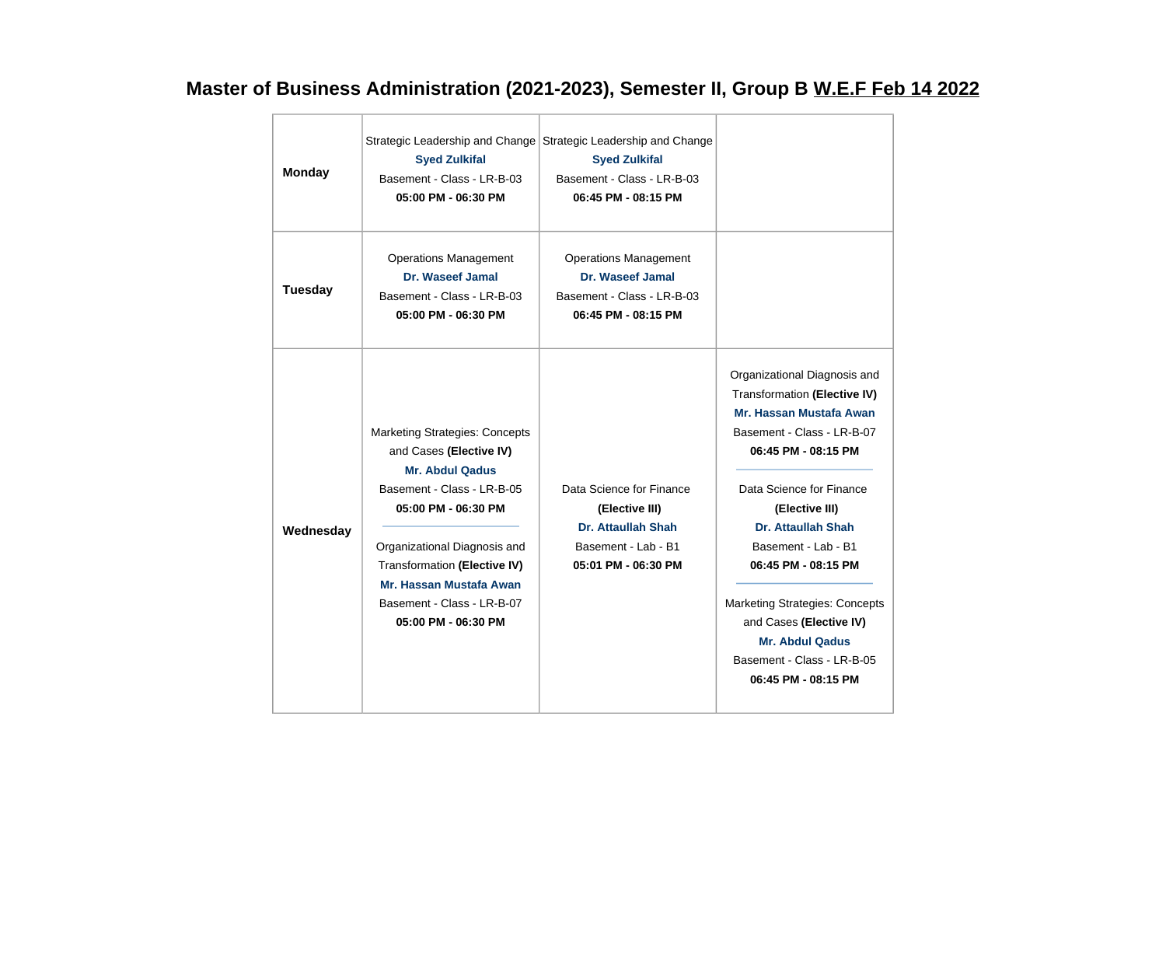## **Master of Business Administration (2021-2023), Semester II, Group B W.E.F Feb 14 2022**

| <b>Monday</b>  | <b>Syed Zulkifal</b><br>Basement - Class - LR-B-03<br>05:00 PM - 06:30 PM                                                                                                                                                                                                                       | Strategic Leadership and Change Strategic Leadership and Change<br><b>Syed Zulkifal</b><br>Basement - Class - LR-B-03<br>06:45 PM - 08:15 PM |                                                                                                                                                                                                                                                                                                                                                                                                                   |
|----------------|-------------------------------------------------------------------------------------------------------------------------------------------------------------------------------------------------------------------------------------------------------------------------------------------------|----------------------------------------------------------------------------------------------------------------------------------------------|-------------------------------------------------------------------------------------------------------------------------------------------------------------------------------------------------------------------------------------------------------------------------------------------------------------------------------------------------------------------------------------------------------------------|
| <b>Tuesday</b> | <b>Operations Management</b><br>Dr. Waseef Jamal<br>Basement - Class - LR-B-03<br>05:00 PM - 06:30 PM                                                                                                                                                                                           | <b>Operations Management</b><br>Dr. Waseef Jamal<br>Basement - Class - LR-B-03<br>06:45 PM - 08:15 PM                                        |                                                                                                                                                                                                                                                                                                                                                                                                                   |
| Wednesday      | <b>Marketing Strategies: Concepts</b><br>and Cases (Elective IV)<br><b>Mr. Abdul Qadus</b><br>Basement - Class - LR-B-05<br>05:00 PM - 06:30 PM<br>Organizational Diagnosis and<br>Transformation (Elective IV)<br>Mr. Hassan Mustafa Awan<br>Basement - Class - LR-B-07<br>05:00 PM - 06:30 PM | Data Science for Finance<br>(Elective III)<br>Dr. Attaullah Shah<br>Basement - Lab - B1<br>05:01 PM - 06:30 PM                               | Organizational Diagnosis and<br>Transformation (Elective IV)<br>Mr. Hassan Mustafa Awan<br>Basement - Class - LR-B-07<br>06:45 PM - 08:15 PM<br>Data Science for Finance<br>(Elective III)<br>Dr. Attaullah Shah<br>Basement - Lab - B1<br>06:45 PM - 08:15 PM<br><b>Marketing Strategies: Concepts</b><br>and Cases (Elective IV)<br><b>Mr. Abdul Qadus</b><br>Basement - Class - LR-B-05<br>06:45 PM - 08:15 PM |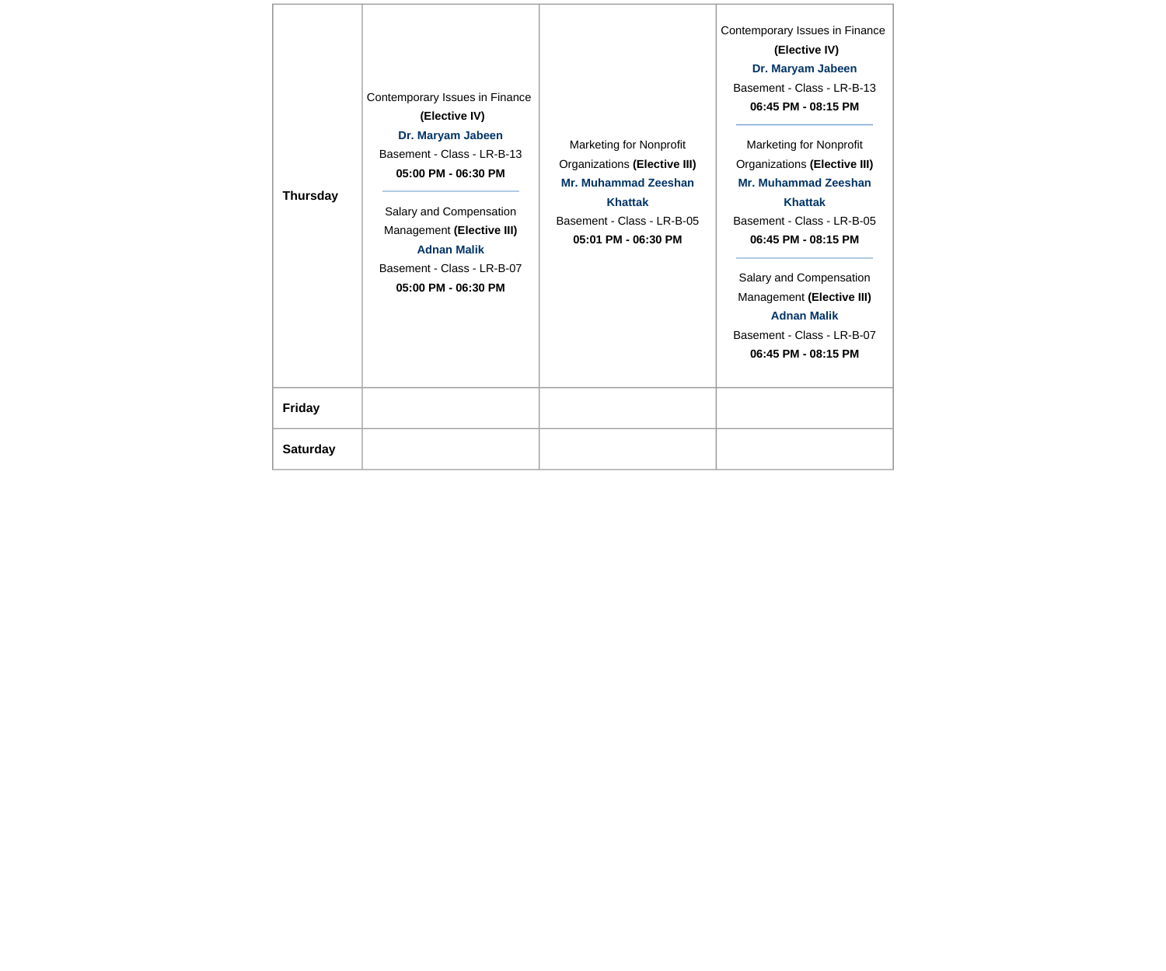| <b>Thursday</b> | Contemporary Issues in Finance<br>(Elective IV)<br>Dr. Maryam Jabeen<br>Basement - Class - LR-B-13<br>05:00 PM - 06:30 PM<br>Salary and Compensation<br>Management (Elective III)<br><b>Adnan Malik</b><br>Basement - Class - LR-B-07<br>05:00 PM - 06:30 PM | <b>Marketing for Nonprofit</b><br>Organizations (Elective III)<br>Mr. Muhammad Zeeshan<br><b>Khattak</b><br>Basement - Class - LR-B-05<br>05:01 PM - 06:30 PM | Contemporary Issues in Finance<br>(Elective IV)<br>Dr. Maryam Jabeen<br>Basement - Class - LR-B-13<br>06:45 PM - 08:15 PM<br><b>Marketing for Nonprofit</b><br>Organizations (Elective III)<br>Mr. Muhammad Zeeshan<br><b>Khattak</b><br>Basement - Class - LR-B-05<br>06:45 PM - 08:15 PM<br>Salary and Compensation<br>Management (Elective III)<br><b>Adnan Malik</b><br>Basement - Class - LR-B-07<br>06:45 PM - 08:15 PM |
|-----------------|--------------------------------------------------------------------------------------------------------------------------------------------------------------------------------------------------------------------------------------------------------------|---------------------------------------------------------------------------------------------------------------------------------------------------------------|-------------------------------------------------------------------------------------------------------------------------------------------------------------------------------------------------------------------------------------------------------------------------------------------------------------------------------------------------------------------------------------------------------------------------------|
| <b>Friday</b>   |                                                                                                                                                                                                                                                              |                                                                                                                                                               |                                                                                                                                                                                                                                                                                                                                                                                                                               |
| <b>Saturday</b> |                                                                                                                                                                                                                                                              |                                                                                                                                                               |                                                                                                                                                                                                                                                                                                                                                                                                                               |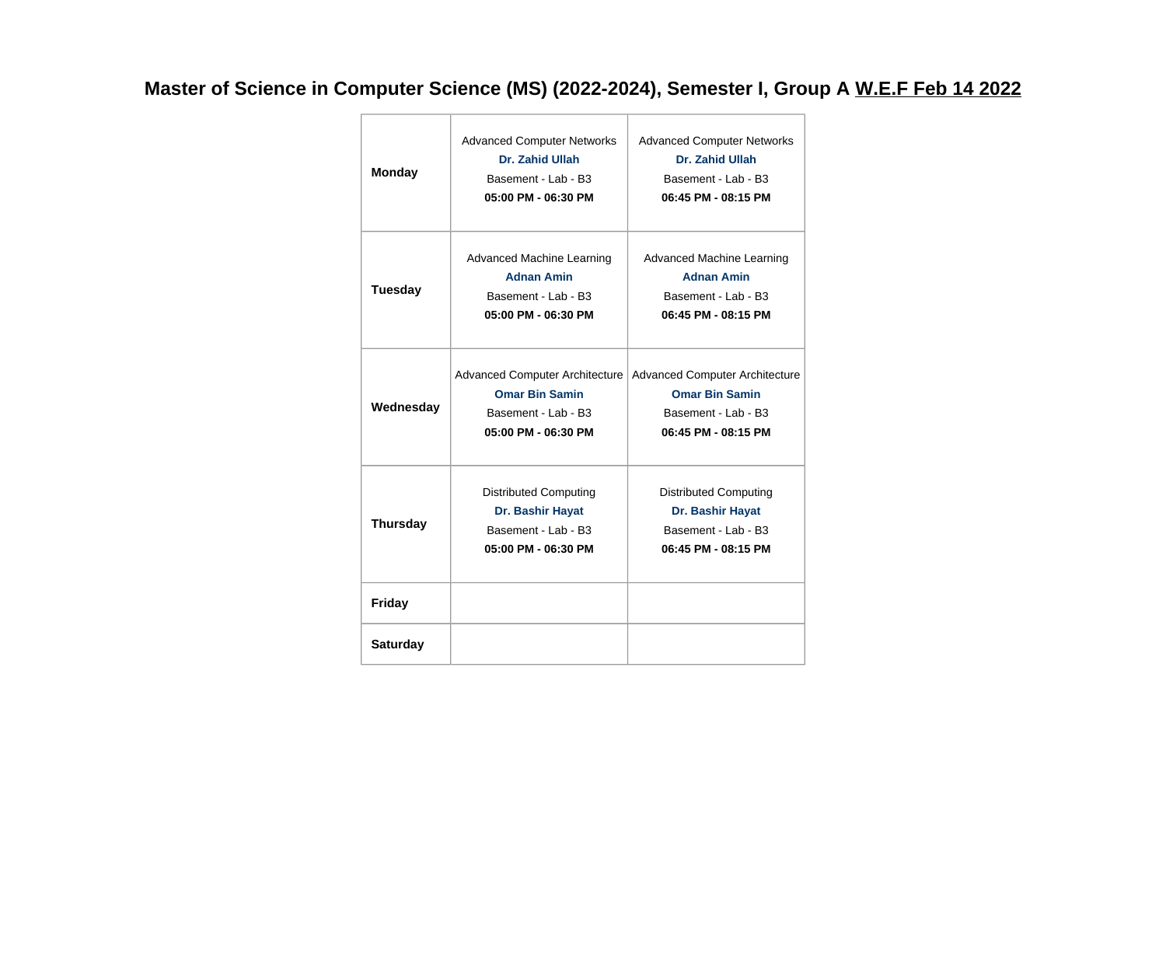## **Master of Science in Computer Science (MS) (2022-2024), Semester I, Group A W.E.F Feb 14 2022**

|                 | <b>Advanced Computer Networks</b>     | <b>Advanced Computer Networks</b>     |
|-----------------|---------------------------------------|---------------------------------------|
| <b>Monday</b>   | Dr. Zahid Ullah                       | Dr. Zahid Ullah                       |
|                 | Basement - Lab - B3                   | Basement - Lab - B3                   |
|                 | 05:00 PM - 06:30 PM                   | 06:45 PM - 08:15 PM                   |
|                 |                                       |                                       |
|                 | <b>Advanced Machine Learning</b>      | Advanced Machine Learning             |
|                 | <b>Adnan Amin</b>                     | <b>Adnan Amin</b>                     |
| <b>Tuesday</b>  | Basement - Lab - B3                   | Basement - Lab - B3                   |
|                 | 05:00 PM - 06:30 PM                   | 06:45 PM - 08:15 PM                   |
|                 |                                       |                                       |
|                 |                                       |                                       |
|                 | <b>Advanced Computer Architecture</b> | <b>Advanced Computer Architecture</b> |
| Wednesday       | <b>Omar Bin Samin</b>                 | <b>Omar Bin Samin</b>                 |
|                 | Basement - Lab - B3                   | Basement - Lab - B3                   |
|                 | 05:00 PM - 06:30 PM                   | 06:45 PM - 08:15 PM                   |
|                 |                                       |                                       |
|                 | <b>Distributed Computing</b>          | <b>Distributed Computing</b>          |
|                 | Dr. Bashir Hayat                      | Dr. Bashir Hayat                      |
| <b>Thursday</b> | Basement - Lab - B3                   | Basement - Lab - B3                   |
|                 | 05:00 PM - 06:30 PM                   | 06:45 PM - 08:15 PM                   |
|                 |                                       |                                       |
| <b>Friday</b>   |                                       |                                       |
|                 |                                       |                                       |
| <b>Saturday</b> |                                       |                                       |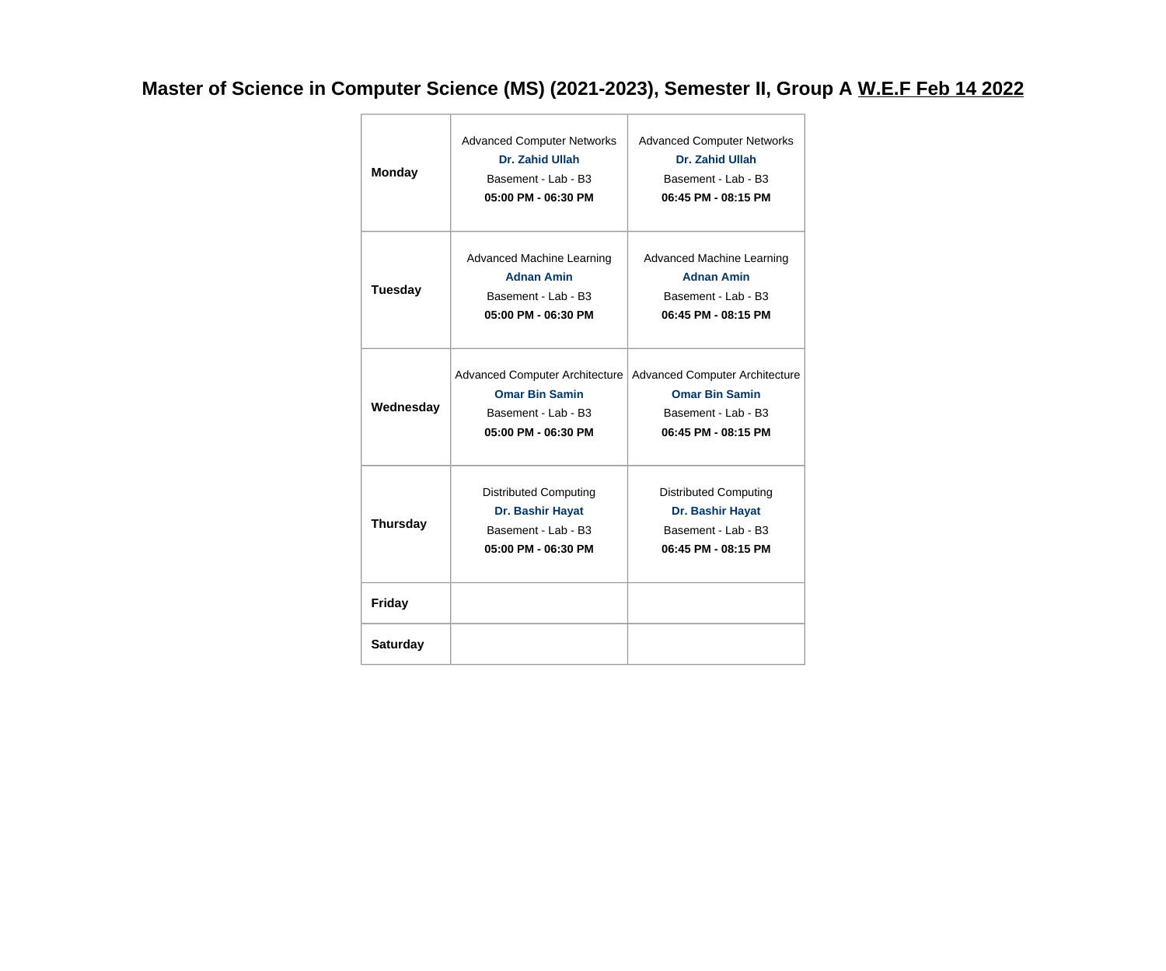## **Master of Science in Computer Science (MS) (2021-2023), Semester II, Group A W.E.F Feb 14 2022**

| <b>Monday</b>   | <b>Advanced Computer Networks</b><br>Dr. Zahid Ullah<br>Basement - Lab - B3<br>05:00 PM - 06:30 PM           | <b>Advanced Computer Networks</b><br>Dr. Zahid Ullah<br>Basement - Lab - B3<br>06:45 PM - 08:15 PM           |
|-----------------|--------------------------------------------------------------------------------------------------------------|--------------------------------------------------------------------------------------------------------------|
| <b>Tuesday</b>  | <b>Advanced Machine Learning</b><br><b>Adnan Amin</b><br>Basement - Lab - B3<br>05:00 PM - 06:30 PM          | Advanced Machine Learning<br><b>Adnan Amin</b><br>Basement - Lab - B3<br>06:45 PM - 08:15 PM                 |
| Wednesday       | <b>Advanced Computer Architecture</b><br><b>Omar Bin Samin</b><br>Basement - Lab - B3<br>05:00 PM - 06:30 PM | <b>Advanced Computer Architecture</b><br><b>Omar Bin Samin</b><br>Basement - Lab - B3<br>06:45 PM - 08:15 PM |
| <b>Thursday</b> | <b>Distributed Computing</b><br>Dr. Bashir Hayat<br>Basement - Lab - B3<br>05:00 PM - 06:30 PM               | <b>Distributed Computing</b><br>Dr. Bashir Hayat<br>Basement - Lab - B3<br>06:45 PM - 08:15 PM               |
| <b>Friday</b>   |                                                                                                              |                                                                                                              |
| <b>Saturday</b> |                                                                                                              |                                                                                                              |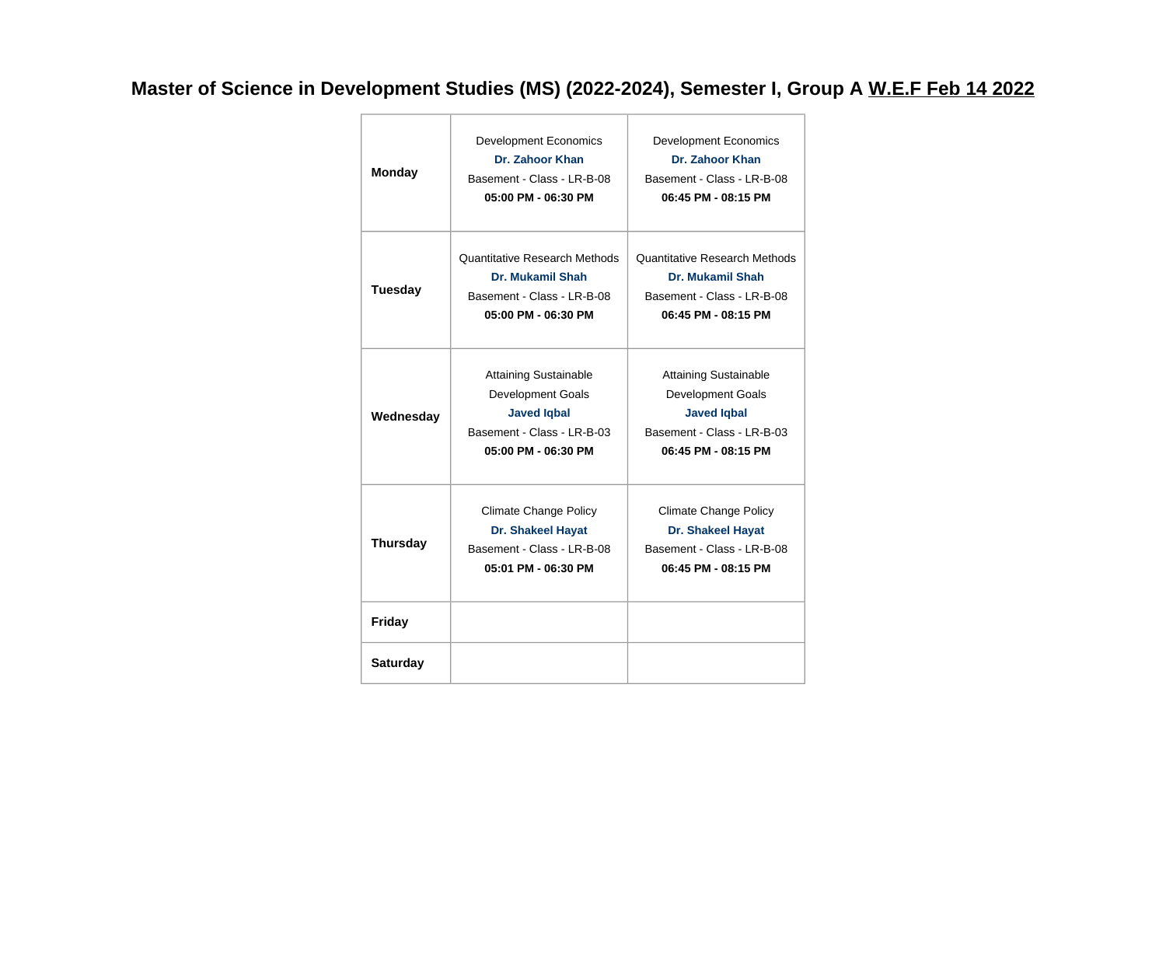## **Master of Science in Development Studies (MS) (2022-2024), Semester I, Group A W.E.F Feb 14 2022**

| <b>Monday</b>   | <b>Development Economics</b><br>Dr. Zahoor Khan<br>Basement - Class - LR-B-08<br>05:00 PM - 06:30 PM                         | <b>Development Economics</b><br>Dr. Zahoor Khan<br>Basement - Class - LR-B-08<br>06:45 PM - 08:15 PM                                |
|-----------------|------------------------------------------------------------------------------------------------------------------------------|-------------------------------------------------------------------------------------------------------------------------------------|
| <b>Tuesday</b>  | <b>Quantitative Research Methods</b><br>Dr. Mukamil Shah<br>Basement - Class - LR-B-08<br>05:00 PM - 06:30 PM                | <b>Quantitative Research Methods</b><br>Dr. Mukamil Shah<br>Basement - Class - LR-B-08<br>06:45 PM - 08:15 PM                       |
| Wednesday       | <b>Attaining Sustainable</b><br>Development Goals<br><b>Javed Iqbal</b><br>Basement - Class - LR-B-03<br>05:00 PM - 06:30 PM | <b>Attaining Sustainable</b><br><b>Development Goals</b><br><b>Javed Iqbal</b><br>Basement - Class - LR-B-03<br>06:45 PM - 08:15 PM |
| <b>Thursday</b> | <b>Climate Change Policy</b><br><b>Dr. Shakeel Hayat</b><br>Basement - Class - LR-B-08<br>05:01 PM - 06:30 PM                | <b>Climate Change Policy</b><br><b>Dr. Shakeel Hayat</b><br>Basement - Class - LR-B-08<br>06:45 PM - 08:15 PM                       |
| <b>Friday</b>   |                                                                                                                              |                                                                                                                                     |
| <b>Saturday</b> |                                                                                                                              |                                                                                                                                     |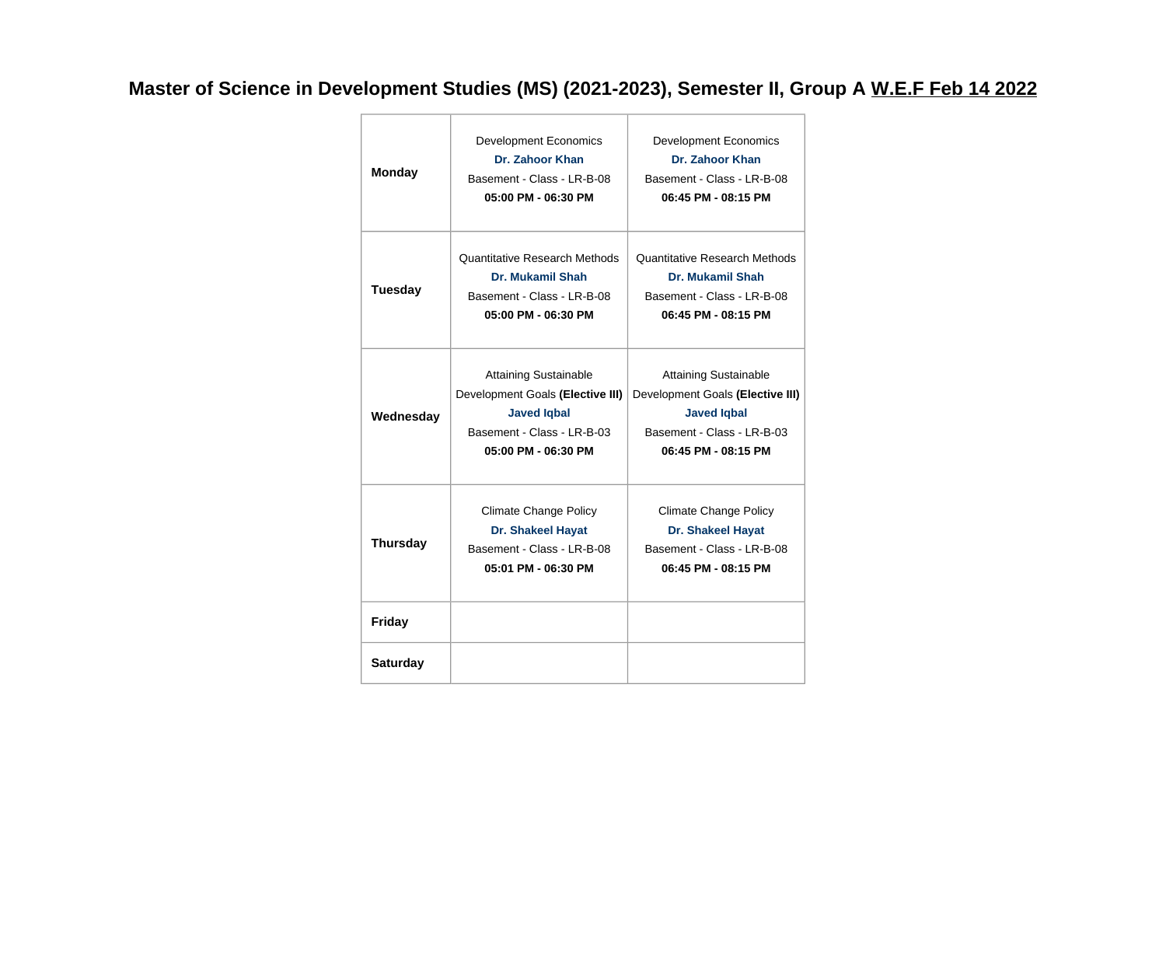## **Master of Science in Development Studies (MS) (2021-2023), Semester II, Group A W.E.F Feb 14 2022**

| <b>Monday</b>   | <b>Development Economics</b><br>Dr. Zahoor Khan<br>Basement - Class - LR-B-08<br>05:00 PM - 06:30 PM                                        | <b>Development Economics</b><br>Dr. Zahoor Khan<br>Basement - Class - LR-B-08<br>06:45 PM - 08:15 PM                                        |
|-----------------|---------------------------------------------------------------------------------------------------------------------------------------------|---------------------------------------------------------------------------------------------------------------------------------------------|
| <b>Tuesday</b>  | <b>Quantitative Research Methods</b><br>Dr. Mukamil Shah<br>Basement - Class - LR-B-08<br>05:00 PM - 06:30 PM                               | <b>Quantitative Research Methods</b><br>Dr. Mukamil Shah<br>Basement - Class - LR-B-08<br>06:45 PM - 08:15 PM                               |
| Wednesday       | <b>Attaining Sustainable</b><br>Development Goals (Elective III)<br><b>Javed Iqbal</b><br>Basement - Class - LR-B-03<br>05:00 PM - 06:30 PM | <b>Attaining Sustainable</b><br>Development Goals (Elective III)<br><b>Javed Iqbal</b><br>Basement - Class - LR-B-03<br>06:45 PM - 08:15 PM |
| <b>Thursday</b> | Climate Change Policy<br><b>Dr. Shakeel Hayat</b><br>Basement - Class - LR-B-08<br>05:01 PM - 06:30 PM                                      | <b>Climate Change Policy</b><br><b>Dr. Shakeel Hayat</b><br>Basement - Class - LR-B-08<br>06:45 PM - 08:15 PM                               |
| <b>Friday</b>   |                                                                                                                                             |                                                                                                                                             |
| <b>Saturday</b> |                                                                                                                                             |                                                                                                                                             |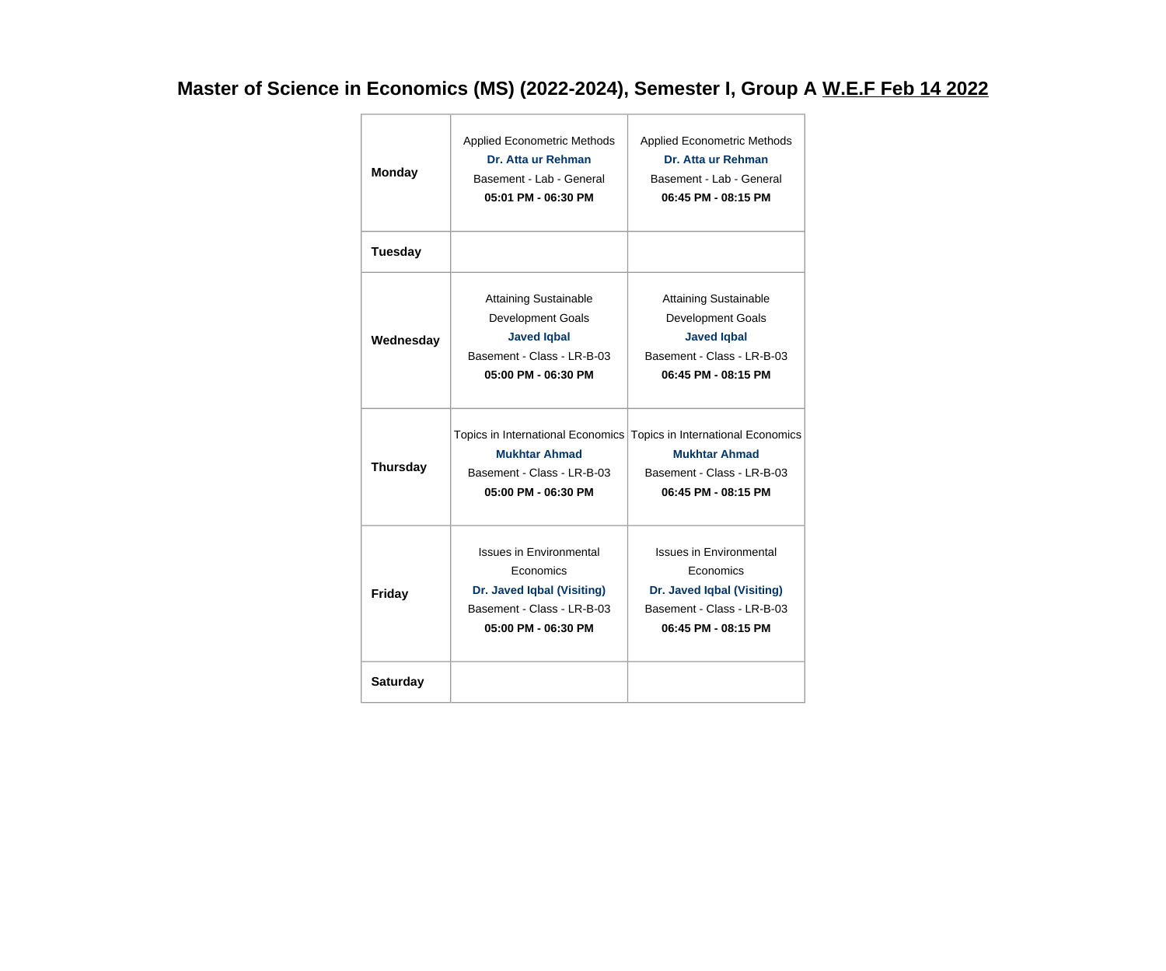### **Master of Science in Economics (MS) (2022-2024), Semester I, Group A W.E.F Feb 14 2022**

| <b>Monday</b>   | <b>Applied Econometric Methods</b><br>Dr. Atta ur Rehman<br>Basement - Lab - General<br>05:01 PM - 06:30 PM                    | <b>Applied Econometric Methods</b><br>Dr. Atta ur Rehman<br>Basement - Lab - General<br>06:45 PM - 08:15 PM                                      |
|-----------------|--------------------------------------------------------------------------------------------------------------------------------|--------------------------------------------------------------------------------------------------------------------------------------------------|
| <b>Tuesday</b>  |                                                                                                                                |                                                                                                                                                  |
| Wednesday       | <b>Attaining Sustainable</b><br>Development Goals<br><b>Javed Iqbal</b><br>Basement - Class - LR-B-03<br>05:00 PM - 06:30 PM   | <b>Attaining Sustainable</b><br>Development Goals<br><b>Javed Iqbal</b><br>Basement - Class - LR-B-03<br>06:45 PM - 08:15 PM                     |
| <b>Thursday</b> | <b>Mukhtar Ahmad</b><br>Basement - Class - LR-B-03<br>05:00 PM - 06:30 PM                                                      | Topics in International Economics Topics in International Economics<br><b>Mukhtar Ahmad</b><br>Basement - Class - LR-B-03<br>06:45 PM - 08:15 PM |
| Friday          | <b>Issues in Environmental</b><br>Economics<br>Dr. Javed Iqbal (Visiting)<br>Basement - Class - LR-B-03<br>05:00 PM - 06:30 PM | <b>Issues in Environmental</b><br>Economics<br>Dr. Javed Iqbal (Visiting)<br>Basement - Class - LR-B-03<br>06:45 PM - 08:15 PM                   |
| <b>Saturday</b> |                                                                                                                                |                                                                                                                                                  |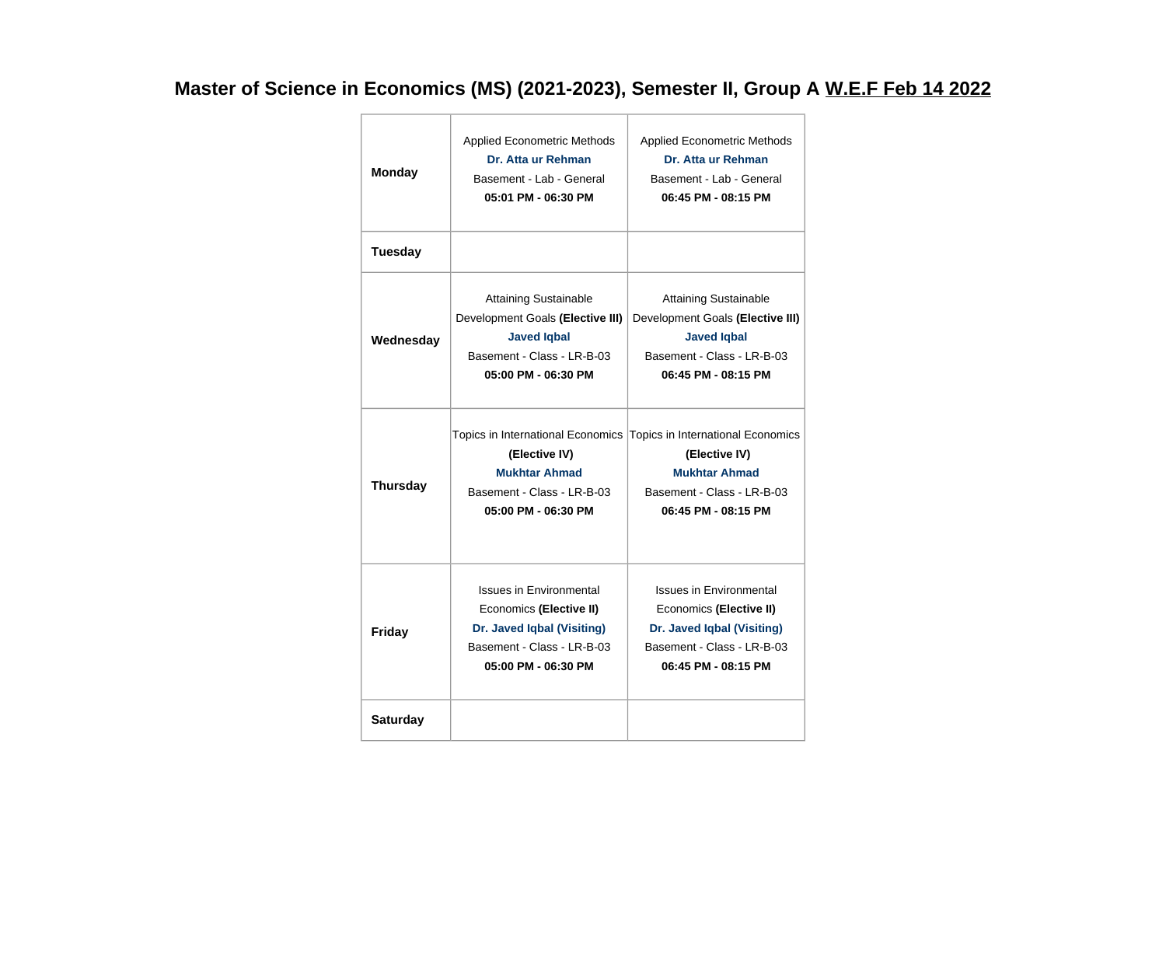### **Master of Science in Economics (MS) (2021-2023), Semester II, Group A W.E.F Feb 14 2022**

| <b>Monday</b>   | <b>Applied Econometric Methods</b><br>Dr. Atta ur Rehman<br>Basement - Lab - General<br>05:01 PM - 06:30 PM                                  | <b>Applied Econometric Methods</b><br>Dr. Atta ur Rehman<br>Basement - Lab - General<br>06:45 PM - 08:15 PM                                  |
|-----------------|----------------------------------------------------------------------------------------------------------------------------------------------|----------------------------------------------------------------------------------------------------------------------------------------------|
| <b>Tuesday</b>  |                                                                                                                                              |                                                                                                                                              |
| Wednesday       | <b>Attaining Sustainable</b><br>Development Goals (Elective III)<br><b>Javed Iqbal</b><br>Basement - Class - LR-B-03<br>05:00 PM - 06:30 PM  | <b>Attaining Sustainable</b><br>Development Goals (Elective III)<br><b>Javed Iqbal</b><br>Basement - Class - LR-B-03<br>06:45 PM - 08:15 PM  |
| <b>Thursday</b> | Topics in International Economics<br>(Elective IV)<br><b>Mukhtar Ahmad</b><br>Basement - Class - LR-B-03<br>05:00 PM - 06:30 PM              | Topics in International Economics<br>(Elective IV)<br><b>Mukhtar Ahmad</b><br>Basement - Class - LR-B-03<br>06:45 PM - 08:15 PM              |
| <b>Friday</b>   | <b>Issues in Environmental</b><br>Economics (Elective II)<br>Dr. Javed Iqbal (Visiting)<br>Basement - Class - LR-B-03<br>05:00 PM - 06:30 PM | <b>Issues in Environmental</b><br>Economics (Elective II)<br>Dr. Javed Iqbal (Visiting)<br>Basement - Class - LR-B-03<br>06:45 PM - 08:15 PM |
| <b>Saturday</b> |                                                                                                                                              |                                                                                                                                              |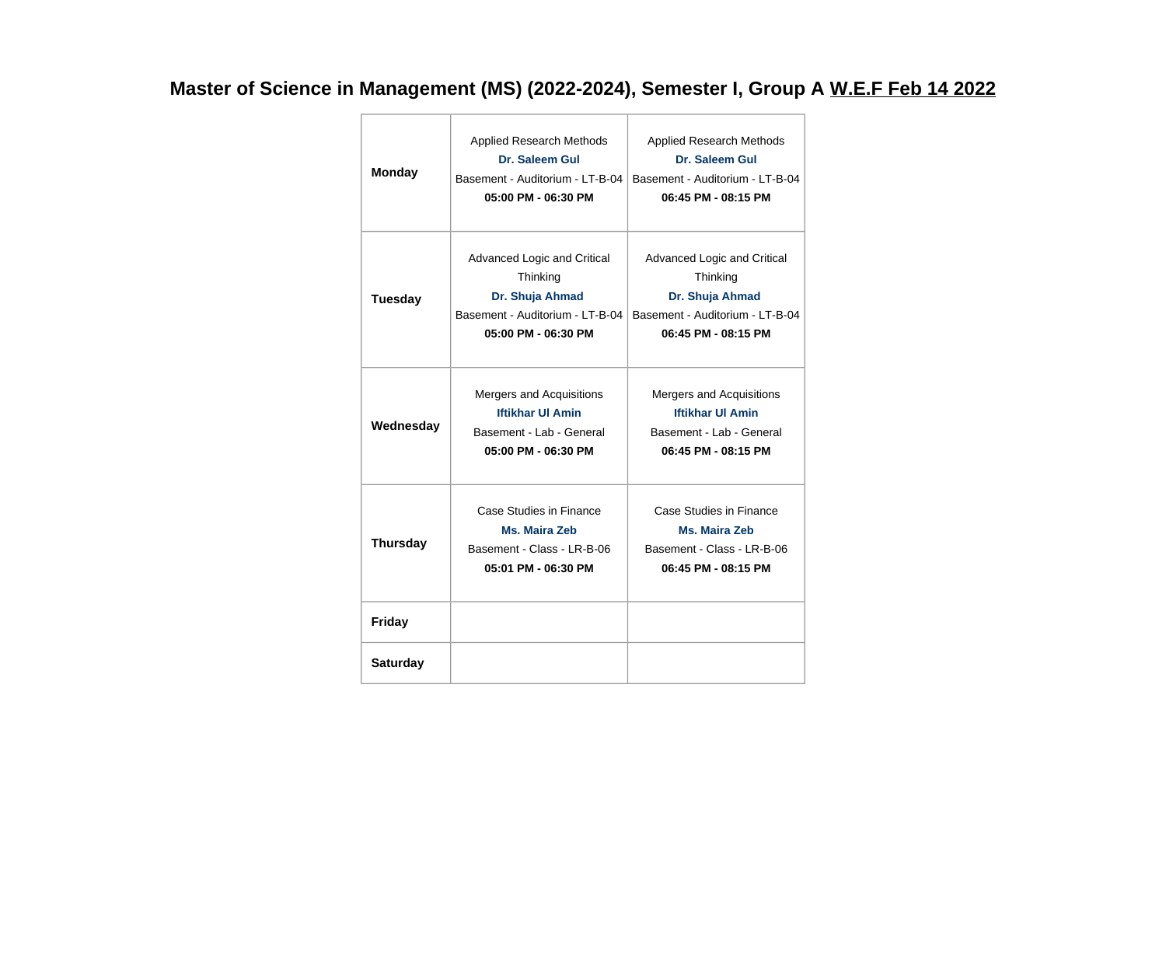### **Master of Science in Management (MS) (2022-2024), Semester I, Group A W.E.F Feb 14 2022**

| <b>Monday</b>   | <b>Applied Research Methods</b><br>Dr. Saleem Gul<br>Basement - Auditorium - LT-B-04<br>05:00 PM - 06:30 PM          | <b>Applied Research Methods</b><br>Dr. Saleem Gul<br>Basement - Auditorium - LT-B-04<br>06:45 PM - 08:15 PM          |
|-----------------|----------------------------------------------------------------------------------------------------------------------|----------------------------------------------------------------------------------------------------------------------|
| <b>Tuesday</b>  | Advanced Logic and Critical<br>Thinking<br>Dr. Shuja Ahmad<br>Basement - Auditorium - LT-B-04<br>05:00 PM - 06:30 PM | Advanced Logic and Critical<br>Thinking<br>Dr. Shuja Ahmad<br>Basement - Auditorium - LT-B-04<br>06:45 PM - 08:15 PM |
| Wednesday       | Mergers and Acquisitions<br><b>Iftikhar UI Amin</b><br>Basement - Lab - General<br>05:00 PM - 06:30 PM               | Mergers and Acquisitions<br><b>Iftikhar UI Amin</b><br>Basement - Lab - General<br>06:45 PM - 08:15 PM               |
| <b>Thursday</b> | Case Studies in Finance<br>Ms. Maira Zeb<br>Basement - Class - LR-B-06<br>05:01 PM - 06:30 PM                        | Case Studies in Finance<br>Ms. Maira Zeb<br>Basement - Class - LR-B-06<br>06:45 PM - 08:15 PM                        |
| <b>Friday</b>   |                                                                                                                      |                                                                                                                      |
| <b>Saturday</b> |                                                                                                                      |                                                                                                                      |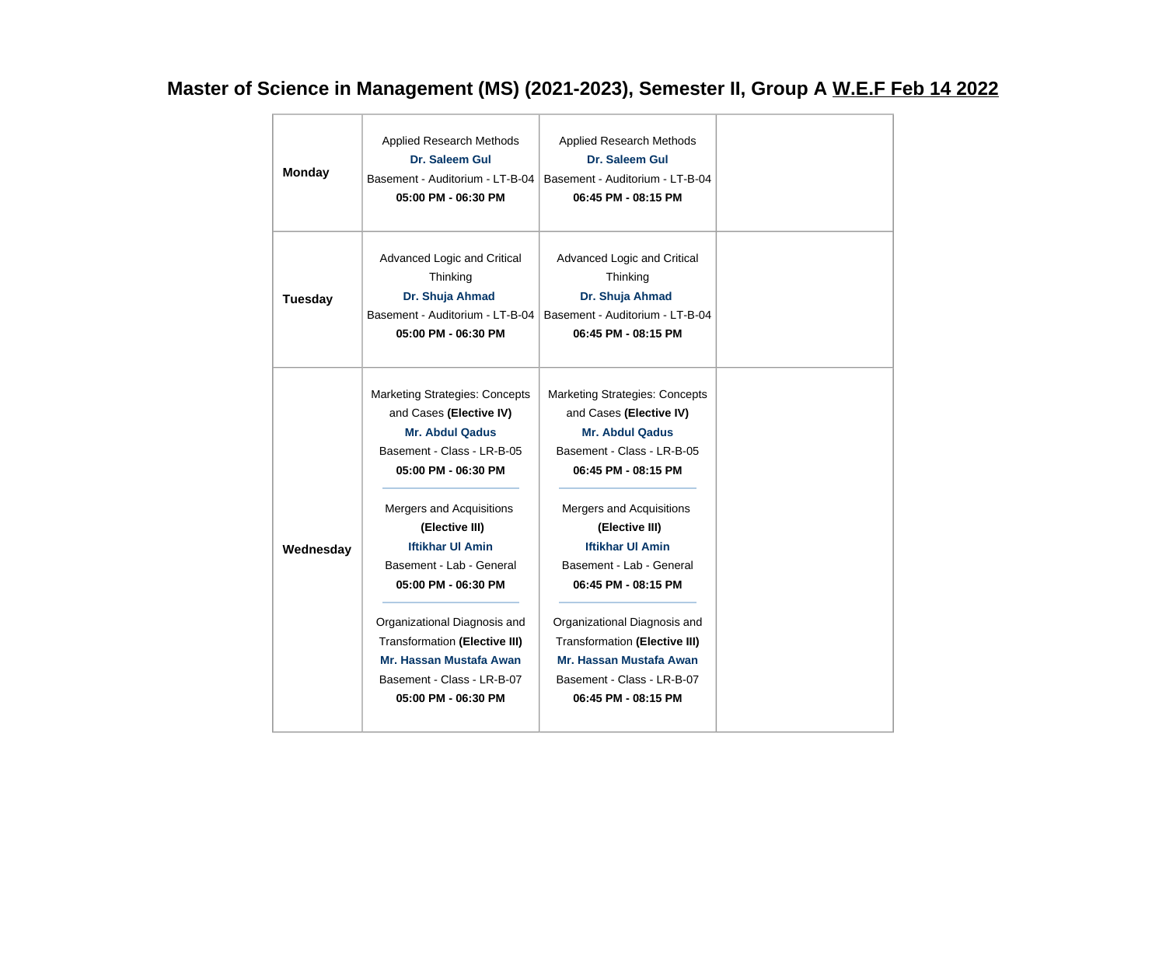### **Master of Science in Management (MS) (2021-2023), Semester II, Group A W.E.F Feb 14 2022**

| <b>Monday</b>  | Applied Research Methods<br>Dr. Saleem Gul<br>Basement - Auditorium - LT-B-04<br>05:00 PM - 06:30 PM                                                                                                                                                                                                                                                                                                                                | Applied Research Methods<br>Dr. Saleem Gul<br>Basement - Auditorium - LT-B-04<br>06:45 PM - 08:15 PM                                                                                                                                                                                                                                                                                                                         |  |
|----------------|-------------------------------------------------------------------------------------------------------------------------------------------------------------------------------------------------------------------------------------------------------------------------------------------------------------------------------------------------------------------------------------------------------------------------------------|------------------------------------------------------------------------------------------------------------------------------------------------------------------------------------------------------------------------------------------------------------------------------------------------------------------------------------------------------------------------------------------------------------------------------|--|
| <b>Tuesday</b> | Advanced Logic and Critical<br>Thinking<br>Dr. Shuja Ahmad<br>Basement - Auditorium - LT-B-04<br>05:00 PM - 06:30 PM                                                                                                                                                                                                                                                                                                                | Advanced Logic and Critical<br>Thinking<br>Dr. Shuja Ahmad<br>Basement - Auditorium - LT-B-04<br>06:45 PM - 08:15 PM                                                                                                                                                                                                                                                                                                         |  |
| Wednesday      | <b>Marketing Strategies: Concepts</b><br>and Cases (Elective IV)<br><b>Mr. Abdul Qadus</b><br>Basement - Class - LR-B-05<br>05:00 PM - 06:30 PM<br>Mergers and Acquisitions<br>(Elective III)<br><b>Iftikhar UI Amin</b><br>Basement - Lab - General<br>05:00 PM - 06:30 PM<br>Organizational Diagnosis and<br><b>Transformation (Elective III)</b><br>Mr. Hassan Mustafa Awan<br>Basement - Class - LR-B-07<br>05:00 PM - 06:30 PM | <b>Marketing Strategies: Concepts</b><br>and Cases (Elective IV)<br><b>Mr. Abdul Qadus</b><br>Basement - Class - LR-B-05<br>06:45 PM - 08:15 PM<br>Mergers and Acquisitions<br>(Elective III)<br><b>Iftikhar UI Amin</b><br>Basement - Lab - General<br>06:45 PM - 08:15 PM<br>Organizational Diagnosis and<br>Transformation (Elective III)<br>Mr. Hassan Mustafa Awan<br>Basement - Class - LR-B-07<br>06:45 PM - 08:15 PM |  |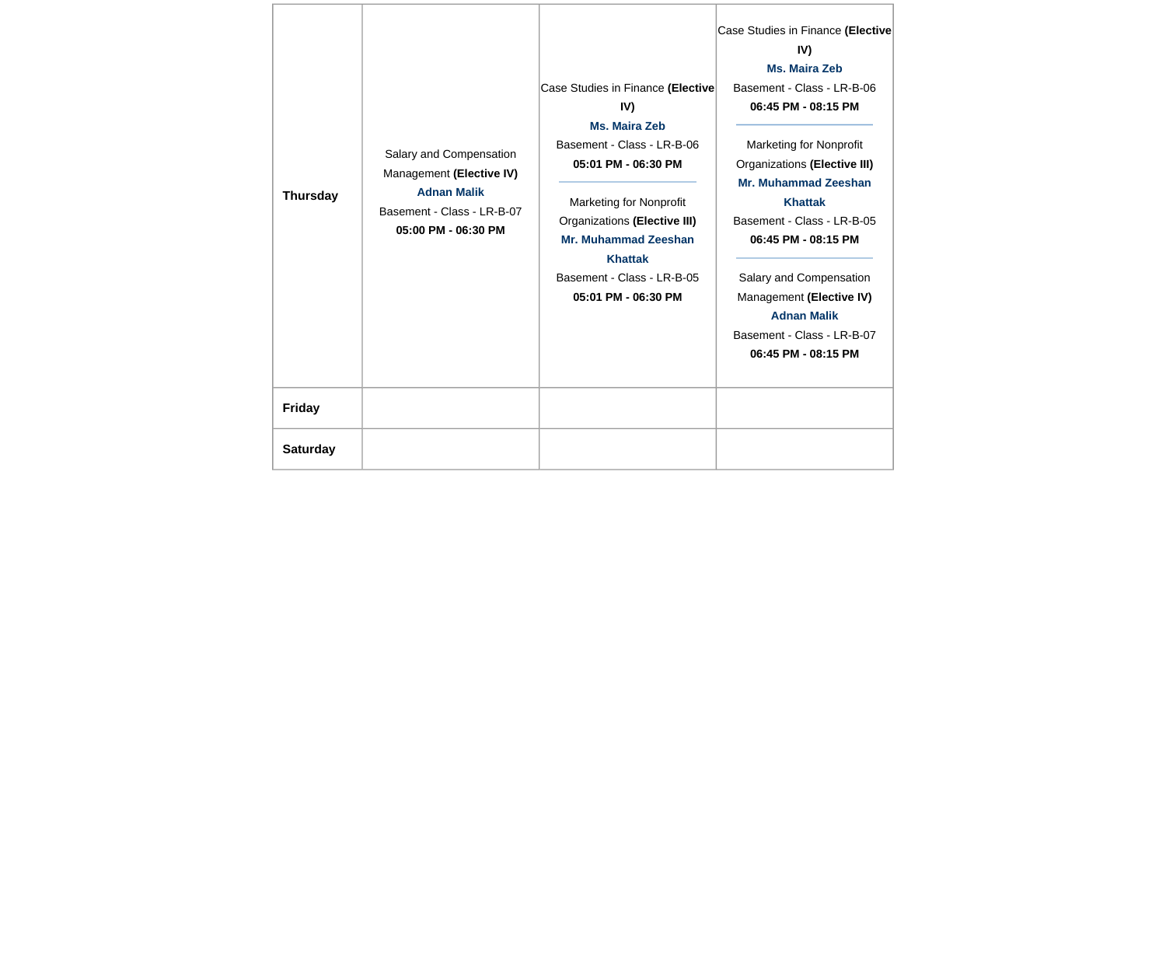| <b>Thursday</b> | Salary and Compensation<br>Management (Elective IV)<br><b>Adnan Malik</b><br>Basement - Class - LR-B-07<br>05:00 PM - 06:30 PM | Case Studies in Finance (Elective<br>IV)<br>Ms. Maira Zeb<br>Basement - Class - LR-B-06<br>05:01 PM - 06:30 PM<br><b>Marketing for Nonprofit</b><br>Organizations (Elective III)<br>Mr. Muhammad Zeeshan<br><b>Khattak</b><br>Basement - Class - LR-B-05<br>05:01 PM - 06:30 PM | Case Studies in Finance (Elective<br>IV)<br><b>Ms. Maira Zeb</b><br>Basement - Class - LR-B-06<br>06:45 PM - 08:15 PM<br>Marketing for Nonprofit<br>Organizations (Elective III)<br>Mr. Muhammad Zeeshan<br><b>Khattak</b><br>Basement - Class - LR-B-05<br>06:45 PM - 08:15 PM<br>Salary and Compensation<br>Management (Elective IV)<br><b>Adnan Malik</b><br>Basement - Class - LR-B-07<br>06:45 PM - 08:15 PM |
|-----------------|--------------------------------------------------------------------------------------------------------------------------------|---------------------------------------------------------------------------------------------------------------------------------------------------------------------------------------------------------------------------------------------------------------------------------|-------------------------------------------------------------------------------------------------------------------------------------------------------------------------------------------------------------------------------------------------------------------------------------------------------------------------------------------------------------------------------------------------------------------|
| <b>Friday</b>   |                                                                                                                                |                                                                                                                                                                                                                                                                                 |                                                                                                                                                                                                                                                                                                                                                                                                                   |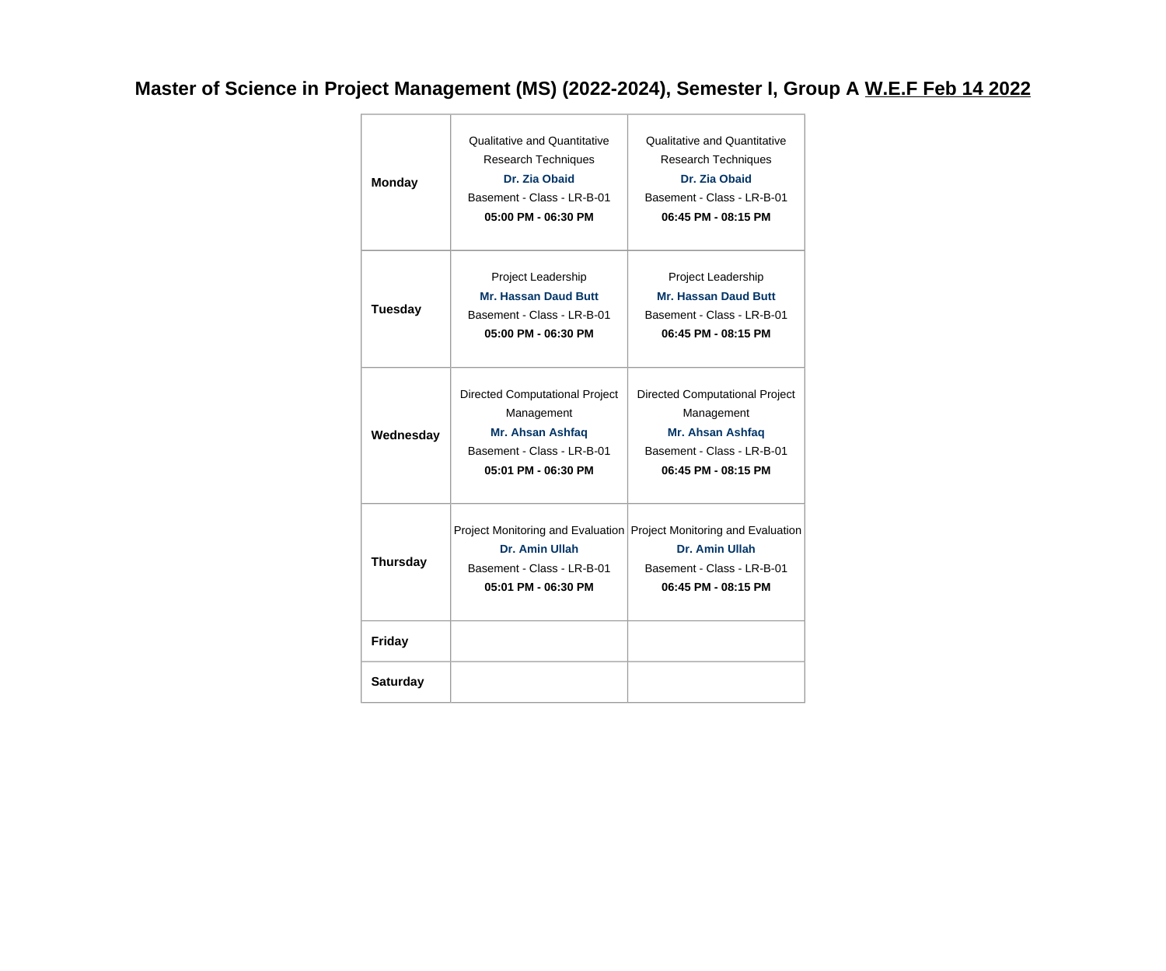**Master of Science in Project Management (MS) (2022-2024), Semester I, Group A W.E.F Feb 14 2022**

| <b>Monday</b>   | <b>Qualitative and Quantitative</b><br><b>Research Techniques</b><br>Dr. Zia Obaid<br>Basement - Class - LR-B-01<br>05:00 PM - 06:30 PM | <b>Qualitative and Quantitative</b><br><b>Research Techniques</b><br>Dr. Zia Obaid<br>Basement - Class - LR-B-01<br>06:45 PM - 08:15 PM    |
|-----------------|-----------------------------------------------------------------------------------------------------------------------------------------|--------------------------------------------------------------------------------------------------------------------------------------------|
| <b>Tuesday</b>  | Project Leadership<br><b>Mr. Hassan Daud Butt</b><br>Basement - Class - LR-B-01<br>05:00 PM - 06:30 PM                                  | Project Leadership<br><b>Mr. Hassan Daud Butt</b><br>Basement - Class - LR-B-01<br>06:45 PM - 08:15 PM                                     |
| Wednesday       | Directed Computational Project<br>Management<br>Mr. Ahsan Ashfaq<br>Basement - Class - LR-B-01<br>05:01 PM - 06:30 PM                   | Directed Computational Project<br>Management<br>Mr. Ahsan Ashfaq<br>Basement - Class - LR-B-01<br>06:45 PM - 08:15 PM                      |
| <b>Thursday</b> | Dr. Amin Ullah<br>Basement - Class - LR-B-01<br>05:01 PM - 06:30 PM                                                                     | Project Monitoring and Evaluation Project Monitoring and Evaluation<br>Dr. Amin Ullah<br>Basement - Class - LR-B-01<br>06:45 PM - 08:15 PM |
| <b>Friday</b>   |                                                                                                                                         |                                                                                                                                            |
| <b>Saturday</b> |                                                                                                                                         |                                                                                                                                            |